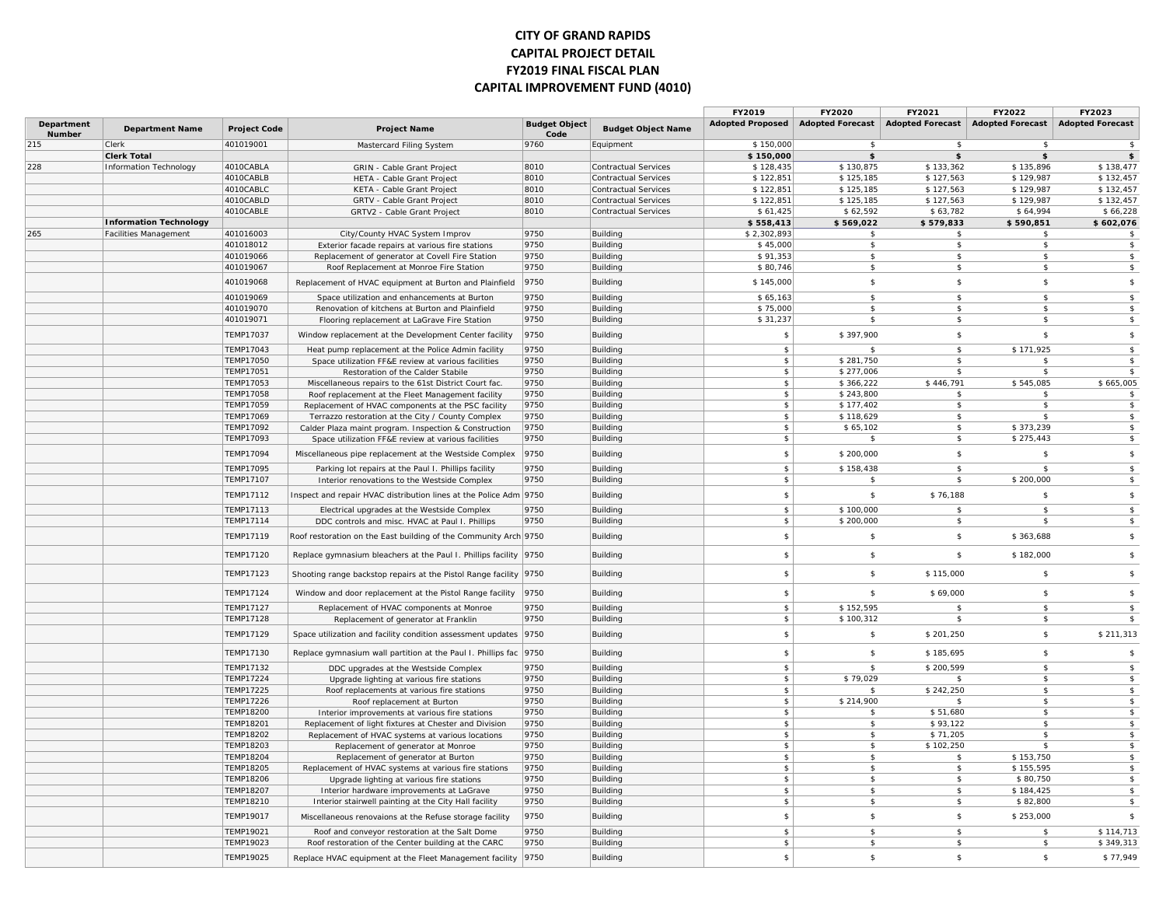#### **CITY OF GRAND RAPIDS CAPITAL PROJECT DETAIL FY2019 FINAL FISCAL PLAN CAPITAL IMPROVEMENT FUND (4010)**

|                             |                               |                                      |                                                                                                              |                              |                             | FY2019                  | FY2020                  | FY2021                     | FY2022                             | FY2023                      |
|-----------------------------|-------------------------------|--------------------------------------|--------------------------------------------------------------------------------------------------------------|------------------------------|-----------------------------|-------------------------|-------------------------|----------------------------|------------------------------------|-----------------------------|
| <b>Department</b><br>Number | <b>Department Name</b>        | <b>Project Code</b>                  | <b>Project Name</b>                                                                                          | <b>Budget Object</b><br>Code | <b>Budget Object Name</b>   | <b>Adopted Proposed</b> | <b>Adopted Forecast</b> | <b>Adopted Forecast</b>    | <b>Adopted Forecast</b>            | <b>Adopted Forecast</b>     |
| 215                         | Clerk                         | 401019001                            | Mastercard Filing System                                                                                     | 9760                         | Equipment                   | \$150,000               | -\$                     | $\mathbf{\hat{s}}$         | $\mathbf{s}$                       | $\sqrt{5}$                  |
|                             | <b>Clerk Total</b>            |                                      |                                                                                                              |                              |                             | \$150,000               | \$                      | \$                         | \$                                 | $\frac{1}{2}$               |
| 228                         | <b>Information Technology</b> | 4010CABLA                            | GRIN - Cable Grant Project                                                                                   | 8010                         | <b>Contractual Services</b> | \$128,435               | \$130,875               | \$133,362                  | \$135,896                          | \$138,477                   |
|                             |                               | 4010CABLB                            | HETA - Cable Grant Project                                                                                   | 8010                         | Contractual Services        | \$122,851               | \$125,185               | \$127,563                  | \$129,987                          | \$132,457                   |
|                             |                               | 4010CABLC                            | KETA - Cable Grant Project                                                                                   | 8010                         | <b>Contractual Services</b> | \$122,851               | \$125,185               | \$127,563                  | \$129,987                          | \$132,457                   |
|                             |                               | 4010CABLD<br>4010CABLE               | GRTV - Cable Grant Project                                                                                   | 8010<br>8010                 | <b>Contractual Services</b> | \$122,851<br>\$61,425   | \$125,185<br>\$62,592   | \$127,563<br>\$63,782      | \$129,987<br>\$64,994              | \$132,457<br>\$66,228       |
|                             | <b>Information Technology</b> |                                      | GRTV2 - Cable Grant Project                                                                                  |                              | Contractual Services        | \$558,413               | \$569,022               | \$579,833                  | \$590,851                          | \$602,076                   |
| 265                         | <b>Facilities Management</b>  | 401016003                            | City/County HVAC System Improv                                                                               | 9750                         | Building                    | \$2,302,893             | -S                      | - \$                       | s.                                 | \$                          |
|                             |                               | 401018012                            | Exterior facade repairs at various fire stations                                                             | 9750                         | Building                    | \$45,000                | \$                      | \$                         | \$                                 | \$                          |
|                             |                               | 401019066                            | Replacement of generator at Covell Fire Station                                                              | 9750                         | Building                    | \$91,353                | \$                      | $\mathbf{\hat{s}}$         | $\mathbf{s}$                       | \$                          |
|                             |                               | 401019067                            | Roof Replacement at Monroe Fire Station                                                                      | 9750                         | Building                    | \$80,746                | $\mathbf{\hat{s}}$      | $\mathbf{\hat{s}}$         | $\mathbf{\hat{s}}$                 | \$                          |
|                             |                               | 401019068                            | Replacement of HVAC equipment at Burton and Plainfield                                                       | 9750                         | Building                    | \$145,000               | $$\mathbb{S}$$          | \$                         | $\mathfrak{S}$                     | $\sqrt{5}$                  |
|                             |                               | 401019069                            | Space utilization and enhancements at Burton                                                                 | 9750                         | Building                    | \$65,163                | $\mathsf{s}$            | $\mathsf{s}$               | $\mathsf{s}$                       | $\sqrt{2}$                  |
|                             |                               | 401019070                            | Renovation of kitchens at Burton and Plainfield                                                              | 9750                         | Building                    | \$75,000                | \$                      | \$                         | \$                                 | \$                          |
|                             |                               | 401019071                            | Flooring replacement at LaGrave Fire Station                                                                 | 9750                         | Building                    | \$31,237                | $\mathbf{\hat{s}}$      | \$                         | \$                                 | \$                          |
|                             |                               | <b>TEMP17037</b>                     | Window replacement at the Development Center facility                                                        | 9750                         | Building                    | \$                      | \$397,900               | \$                         | \$                                 | $\sqrt{2}$                  |
|                             |                               | TEMP17043                            | Heat pump replacement at the Police Admin facility                                                           | 9750                         | Building                    | \$                      | \$                      | \$                         | \$171,925                          | \$                          |
|                             |                               | <b>TEMP17050</b>                     | Space utilization FF&E review at various facilities                                                          | 9750                         | Building                    | \$                      | \$281,750               | -\$                        | \$                                 | \$                          |
|                             |                               | <b>TEMP17051</b>                     | Restoration of the Calder Stabile                                                                            | 9750                         | Building                    | \$                      | \$277,006               | - \$                       | \$                                 | \$                          |
|                             |                               | TEMP17053                            | Miscellaneous repairs to the 61st District Court fac.                                                        | 9750                         | Building                    | \$                      | \$366,222               | \$446,791                  | \$545,085                          | \$665,005                   |
|                             |                               | <b>TEMP17058</b>                     | Roof replacement at the Fleet Management facility                                                            | 9750                         | Building                    | \$                      | \$243,800               | $\mathbf{\hat{s}}$         | $\mathbf{\hat{S}}$                 | \$                          |
|                             |                               | TEMP17059                            | Replacement of HVAC components at the PSC facility                                                           | 9750                         | Building                    | \$                      | \$177,402               | -\$                        | $\mathfrak s$                      | \$                          |
|                             |                               | TEMP17069<br><b>TEMP17092</b>        | Terrazzo restoration at the City / County Complex                                                            | 9750<br>9750                 | Building<br>Building        | \$<br>\$                | \$118,629<br>\$65,102   | \$<br>$\mathbf{\hat{s}}$   | \$<br>\$373,239                    | \$<br>$\sqrt{2}$            |
|                             |                               | TEMP17093                            | Calder Plaza maint program. Inspection & Construction<br>Space utilization FF&E review at various facilities | 9750                         | Building                    | \$                      | -S                      | \$                         | \$275,443                          | \$                          |
|                             |                               | TEMP17094                            | Miscellaneous pipe replacement at the Westside Complex                                                       | 9750                         | Building                    | \$                      | \$200,000               | \$                         | \$                                 | \$                          |
|                             |                               | <b>TEMP17095</b>                     | Parking lot repairs at the Paul I. Phillips facility                                                         | 9750                         | Building                    | \$                      | \$158,438               | \$                         | \$                                 | \$                          |
|                             |                               | <b>TEMP17107</b>                     | Interior renovations to the Westside Complex                                                                 | 9750                         | Building                    | \$                      | \$                      | \$                         | \$200,000                          | \$                          |
|                             |                               | TEMP17112                            | Inspect and repair HVAC distribution lines at the Police Adm 9750                                            |                              | Building                    | \$                      | \$                      | \$76,188                   | \$                                 | \$                          |
|                             |                               | <b>TEMP17113</b>                     | Electrical upgrades at the Westside Complex                                                                  | 9750                         | Building                    | \$                      | \$100,000               | -\$                        | \$                                 | $\frac{2}{3}$               |
|                             |                               | TEMP17114                            | DDC controls and misc. HVAC at Paul I. Phillips                                                              | 9750                         | Building                    | \$                      | \$200,000               | \$                         | $\mathbf{\hat{s}}$                 | \$                          |
|                             |                               | <b>TEMP17119</b>                     | Roof restoration on the East building of the Community Arch 9750                                             |                              | Building                    | \$                      | $\mathbf{\hat{s}}$      | \$                         | \$363,688                          | \$                          |
|                             |                               | TEMP17120                            | Replace gymnasium bleachers at the Paul I. Phillips facility 9750                                            |                              | Building                    | \$                      | $\mathbf{\hat{s}}$      | $\sqrt{2}$                 | \$182,000                          | $$\mathbb{S}$$              |
|                             |                               | TEMP17123                            | Shooting range backstop repairs at the Pistol Range facility 9750                                            |                              | Building                    | \$                      | \$                      | \$115,000                  | \$                                 | \$                          |
|                             |                               | <b>TEMP17124</b>                     | Window and door replacement at the Pistol Range facility 9750                                                |                              | Building                    | \$                      | $\mathbf{\hat{s}}$      | \$69,000                   | $\mathbf{s}$                       | $\sqrt{2}$                  |
|                             |                               | <b>TEMP17127</b>                     | Replacement of HVAC components at Monroe                                                                     | 9750                         | Building                    | \$                      | \$152,595               | $\mathbf{\hat{s}}$         | \$                                 | \$                          |
|                             |                               | <b>TEMP17128</b>                     | Replacement of generator at Franklin                                                                         | 9750                         | Building                    | \$                      | \$100,312               | - \$                       | s.                                 | \$                          |
|                             |                               | <b>TEMP17129</b>                     | Space utilization and facility condition assessment updates   9750                                           |                              | Building                    | \$                      | $$\mathbb{S}$$          | \$201,250                  | \$                                 | \$211,313                   |
|                             |                               | TEMP17130                            | Replace gymnasium wall partition at the Paul I. Phillips fac                                                 | 9750                         | Building                    | \$                      | \$                      | \$185,695                  | \$                                 | $\sqrt{2}$                  |
|                             |                               | TEMP17132                            | DDC upgrades at the Westside Complex                                                                         | 9750                         | Building                    | \$                      |                         | \$200,599                  | $\mathsf{s}$                       | $\sqrt{2}$                  |
|                             |                               | <b>TEMP17224</b>                     | Upgrade lighting at various fire stations                                                                    | 9750                         | Building                    | \$                      | \$79,029                | -\$                        | \$                                 | $\sqrt{2}$                  |
|                             |                               | <b>TEMP17225</b>                     | Roof replacements at various fire stations                                                                   | 9750                         | Building                    | \$                      | -S                      | \$242,250                  | \$                                 | \$                          |
|                             |                               | <b>TEMP17226</b><br><b>TEMP18200</b> | Roof replacement at Burton                                                                                   | 9750<br>9750                 | Building                    | \$                      | \$214,900<br>-\$        | $\mathfrak{S}$<br>\$51,680 | $\mathsf{s}$<br>$\mathbf{\hat{S}}$ | $\sqrt{2}$<br>$\frac{1}{2}$ |
|                             |                               | <b>TEMP18201</b>                     | Interior improvements at various fire stations                                                               | 9750                         | Building<br>Building        | \$<br>$\frac{2}{3}$     | -S                      | \$93,122                   | \$                                 | $\frac{1}{2}$               |
|                             |                               | <b>TEMP18202</b>                     | Replacement of light fixtures at Chester and Division<br>Replacement of HVAC systems at various locations    | 9750                         | Building                    | \$                      | $\mathbf{\hat{s}}$      | \$71,205                   | $\mathbf{\hat{s}}$                 | $\frac{1}{2}$               |
|                             |                               | TEMP18203                            | Replacement of generator at Monroe                                                                           | 9750                         | Building                    | \$                      | -\$                     | \$102,250                  | ፍ                                  | \$                          |
|                             |                               | <b>TEMP18204</b>                     | Replacement of generator at Burton                                                                           | 9750                         | Building                    | \$                      | -S                      | \$                         | \$153,750                          | $\sqrt{5}$                  |
|                             |                               | <b>TEMP18205</b>                     | Replacement of HVAC systems at various fire stations                                                         | 9750                         | Building                    | \$                      | $\mathbf{\hat{s}}$      | \$                         | \$155,595                          | \$                          |
|                             |                               | TEMP18206                            | Upgrade lighting at various fire stations                                                                    | 9750                         | Building                    | \$                      | -\$                     | -\$                        | \$80,750                           | \$                          |
|                             |                               | <b>TEMP18207</b>                     | Interior hardware improvements at LaGrave                                                                    | 9750                         | Building                    | $\frac{2}{3}$           | \$                      | \$                         | \$184,425                          | $\sqrt{5}$                  |
|                             |                               | TEMP18210                            | Interior stairwell painting at the City Hall facility                                                        | 9750                         | Building                    | \$                      | $\mathbf{\hat{s}}$      | $\mathsf{s}$               | \$82,800                           | \$                          |
|                             |                               | TEMP19017                            | Miscellaneous renovaions at the Refuse storage facility                                                      | 9750                         | Building                    | \$                      | $\mathbf{\hat{s}}$      | \$                         | \$253,000                          | $\sqrt{5}$                  |
|                             |                               | <b>TEMP19021</b>                     | Roof and conveyor restoration at the Salt Dome                                                               | 9750                         | Building                    | \$                      | \$                      | $\mathsf{s}$               | $\mathbf{s}$                       | \$114,713                   |
|                             |                               | TEMP19023                            | Roof restoration of the Center building at the CARC                                                          | 9750                         | Building                    | \$                      | $\mathbf{\hat{s}}$      | $\mathbf{\hat{s}}$         | $\mathbf{\hat{s}}$                 | \$349,313                   |
|                             |                               | <b>TEMP19025</b>                     | Replace HVAC equipment at the Fleet Management facility   9750                                               |                              | Building                    | $\mathbf{\hat{S}}$      | $\mathbf{\hat{s}}$      | \$                         | $\mathbf{s}$                       | \$77,949                    |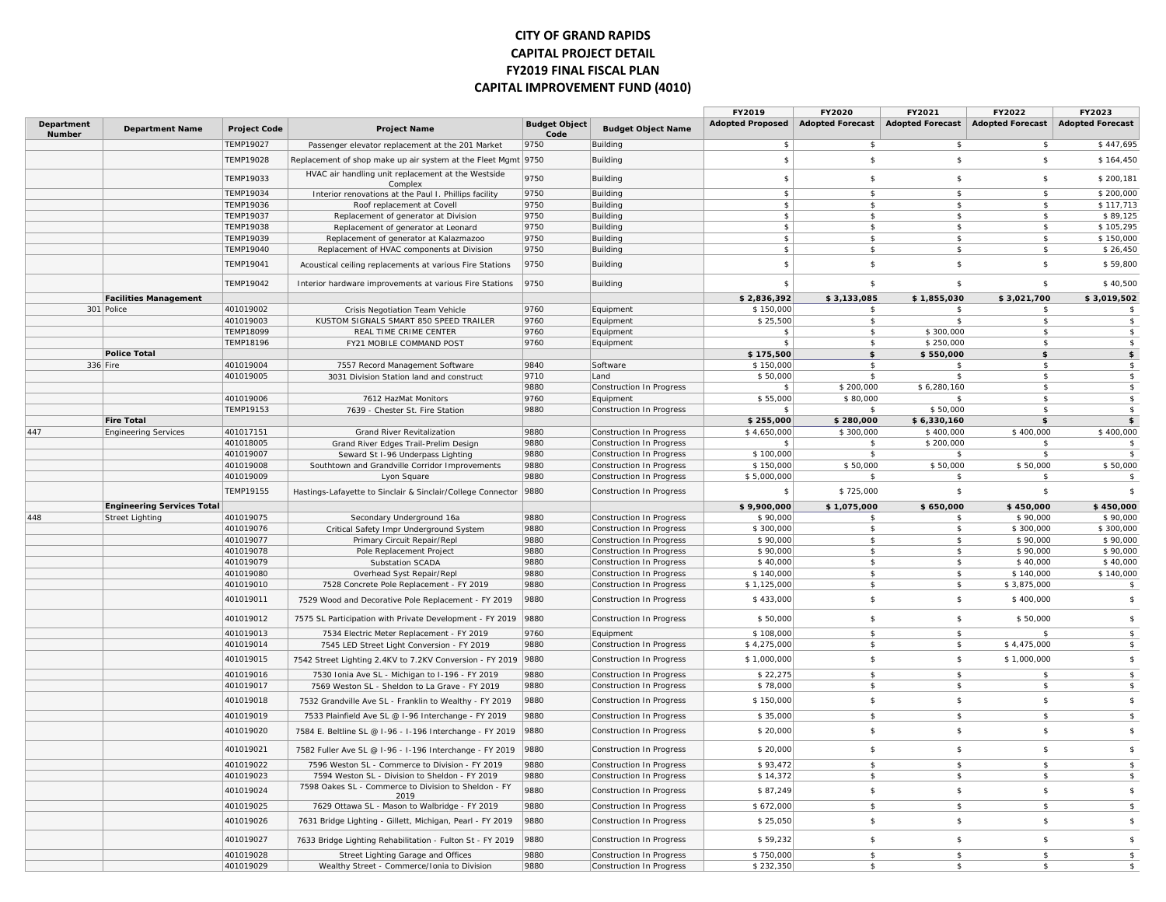#### **CITY OF GRAND RAPIDS CAPITAL PROJECT DETAIL FY2019 FINAL FISCAL PLAN CAPITAL IMPROVEMENT FUND (4010)**

|                             |                                   |                     |                                                               |                              |                                 | FY2019                  | FY2020                  | FY2021                  | FY2022                  | FY2023                  |
|-----------------------------|-----------------------------------|---------------------|---------------------------------------------------------------|------------------------------|---------------------------------|-------------------------|-------------------------|-------------------------|-------------------------|-------------------------|
| <b>Department</b><br>Number | <b>Department Name</b>            | <b>Project Code</b> | <b>Project Name</b>                                           | <b>Budget Object</b><br>Code | <b>Budget Object Name</b>       | <b>Adopted Proposed</b> | <b>Adopted Forecast</b> | <b>Adopted Forecast</b> | <b>Adopted Forecast</b> | <b>Adopted Forecast</b> |
|                             |                                   | <b>TEMP19027</b>    | Passenger elevator replacement at the 201 Market              | 9750                         | Building                        | $\sqrt{2}$              | $\mathfrak{S}$          | \$                      | \$                      | \$447,695               |
|                             |                                   | <b>TEMP19028</b>    | Replacement of shop make up air system at the Fleet Mgmt 9750 |                              | Building                        | $\mathfrak{S}$          | $\mathbf{s}$            | \$                      | $$\mathbb{S}$$          | \$164,450               |
|                             |                                   | TEMP19033           | HVAC air handling unit replacement at the Westside<br>Complex | 9750                         | Building                        | \$                      | \$                      | \$                      | \$                      | \$200,181               |
|                             |                                   | <b>TEMP19034</b>    | Interior renovations at the Paul I. Phillips facility         | 9750                         | Building                        | \$                      | $\mathbf{s}$            | $\mathbf{\hat{S}}$      | $\mathbf{s}$            | \$200,000               |
|                             |                                   | TEMP19036           | Roof replacement at Covell                                    | 9750                         | Building                        | \$                      | \$                      | \$                      | \$                      | \$117,713               |
|                             |                                   | TEMP19037           | Replacement of generator at Division                          | 9750                         | Building                        | \$                      | $\mathbf{s}$            | $\mathsf{s}$            | \$                      | \$89,125                |
|                             |                                   | <b>TEMP19038</b>    | Replacement of generator at Leonard                           | 9750                         | Building                        | \$                      | $\mathbf{\hat{S}}$      | $\ddot{\mathbf{r}}$     | $\hat{\mathbf{r}}$      | \$105,295               |
|                             |                                   | TEMP19039           | Replacement of generator at Kalazmazoo                        | 9750                         | Building                        | \$                      | \$                      | \$                      | \$                      | \$150,000               |
|                             |                                   | TEMP19040           | Replacement of HVAC components at Division                    | 9750                         | Building                        | \$                      | \$                      | \$                      | \$                      | \$26,450                |
|                             |                                   | TEMP19041           | Acoustical ceiling replacements at various Fire Stations      | 9750                         | Building                        | $\mathfrak{S}$          | \$                      | \$                      | $\mathfrak s$           | \$59,800                |
|                             |                                   | TEMP19042           | Interior hardware improvements at various Fire Stations       | 9750                         | Building                        | $\mathbf{\hat{s}}$      | $\mathbf{s}$            | \$                      | $\mathbf{s}$            | \$40,500                |
|                             | <b>Facilities Management</b>      |                     |                                                               |                              |                                 | \$2,836,392             | \$3,133,085             | \$1,855,030             | \$3,021,700             | \$3,019,502             |
|                             | 301 Police                        | 401019002           | Crisis Negotiation Team Vehicle                               | 9760                         | Equipment                       | \$150,000               |                         |                         |                         | \$                      |
|                             |                                   | 401019003           | KUSTOM SIGNALS SMART 850 SPEED TRAILER                        | 9760                         | Equipment                       | \$25,500                | \$                      | \$                      | \$                      | \$                      |
|                             |                                   | <b>TEMP18099</b>    | REAL TIME CRIME CENTER                                        | 9760                         | Equipment                       | $\mathbf{\hat{z}}$      | $\mathbf{\hat{s}}$      | \$300,000               | $\mathbf{\hat{s}}$      | $\,$                    |
|                             |                                   | <b>TEMP18196</b>    | FY21 MOBILE COMMAND POST                                      | 9760                         | Equipment                       | \$                      | s.                      | \$250,000               | -\$                     | $\,$                    |
|                             | <b>Police Total</b>               |                     |                                                               |                              |                                 | \$175,500               | \$                      | \$550,000               | \$                      | \$                      |
| 336 Fire                    |                                   | 401019004           | 7557 Record Management Software                               | 9840                         | Software                        | \$150,000               | \$                      | \$                      | $\mathfrak s$           | \$                      |
|                             |                                   | 401019005           | 3031 Division Station land and construct                      | 9710                         | Land                            | \$50,000                | \$                      | $\mathfrak{F}$          | $\mathbf{s}$            | \$                      |
|                             |                                   |                     |                                                               | 9880                         | Construction In Progress        | $\frac{2}{3}$           | \$200,000               | \$6,280,160             | $\mathbf{s}$            | \$                      |
|                             |                                   | 401019006           | 7612 HazMat Monitors                                          | 9760                         | Equipment                       | \$55,000                | \$80,000                | \$                      | - \$                    | $\,$                    |
|                             |                                   | TEMP19153           | 7639 - Chester St. Fire Station                               | 9880                         | Construction In Progress        | \$                      | -\$                     | \$50,000                | $\mathbf{s}$            | $\,$                    |
|                             | <b>Fire Total</b>                 |                     |                                                               |                              |                                 | \$255,000               | \$280,000               | \$6,330,160             | \$                      | \$                      |
| 447                         | <b>Engineering Services</b>       | 401017151           | Grand River Revitalization                                    | 9880                         | Construction In Progress        | \$4,650,000             | \$300,000               | \$400,000               | \$400,000               | \$400,000               |
|                             |                                   | 401018005           | Grand River Edges Trail-Prelim Design                         | 9880                         | Construction In Progress        | \$                      | s.                      | \$200,000               |                         | $\mathsf{s}$            |
|                             |                                   | 401019007           | Seward St I-96 Underpass Lighting                             | 9880                         | <b>Construction In Progress</b> | \$100,000               | $\mathfrak{s}$          | \$                      | $\mathfrak s$           | $\mathbf{\hat{S}}$      |
|                             |                                   | 401019008           | Southtown and Grandville Corridor Improvements                | 9880                         | Construction In Progress        | \$150,000               | \$50,000                | \$50,000                | \$50,000                | \$50,000                |
|                             |                                   | 401019009           | Lyon Square                                                   | 9880                         | Construction In Progress        | \$5,000,000             | s.                      | -\$                     | \$                      | $\sqrt{2}$              |
|                             |                                   | <b>TEMP19155</b>    | Hastings-Lafayette to Sinclair & Sinclair/College Connector   | 9880                         | Construction In Progress        | -\$                     | \$725,000               | \$                      | \$                      | $\mathsf{s}$            |
|                             | <b>Engineering Services Total</b> |                     |                                                               |                              |                                 | \$9,900,000             | \$1,075,000             | \$650,000               | \$450,000               | \$450,000               |
| 448                         | <b>Street Lighting</b>            | 401019075           | Secondary Underground 16a                                     | 9880                         | Construction In Progress        | \$90,000                | $\mathbf{s}$            | $\mathsf{s}$            | \$90,000                | \$90,000                |
|                             |                                   | 401019076           | Critical Safety Impr Underground System                       | 9880                         | Construction In Progress        | \$300,000               | \$                      | \$                      | \$300,000               | \$300,000               |
|                             |                                   | 401019077           | Primary Circuit Repair/Repl                                   | 9880                         | Construction In Progress        | \$90,000                | \$                      | \$                      | \$90,000                | \$90,000                |
|                             |                                   | 401019078           | Pole Replacement Project                                      | 9880                         | Construction In Progress        | \$90,000                | $\mathfrak{s}$          | \$                      | \$90,000                | \$90,000                |
|                             |                                   | 401019079           | Substation SCADA                                              | 9880                         | <b>Construction In Progress</b> | \$40,000                | $\mathfrak{s}$          | \$                      | \$40,000                | $\overline{$}40,000$    |
|                             |                                   | 401019080           | Overhead Syst Repair/Repl                                     | 9880                         | Construction In Progress        | \$140,000               | \$                      | \$                      | \$140,000               | \$140,000               |
|                             |                                   | 401019010           | 7528 Concrete Pole Replacement - FY 2019                      | 9880                         | Construction In Progress        | \$1,125,000             | $\mathbf{s}$            | \$                      | \$3,875,000             | $\sqrt{5}$              |
|                             |                                   | 401019011           | 7529 Wood and Decorative Pole Replacement - FY 2019           | 9880                         | Construction In Progress        | \$433,000               | \$                      | \$                      | \$400,000               | $$\mathbb{S}$$          |
|                             |                                   | 401019012           | 7575 SL Participation with Private Development - FY 2019      | 9880                         | Construction In Progress        | \$50,000                | \$                      | \$                      | \$50,000                | $\sqrt{5}$              |
|                             |                                   | 401019013           | 7534 Electric Meter Replacement - FY 2019                     | 9760                         | Equipment                       | \$108,000               | $\mathbf{\hat{s}}$      | \$                      |                         | \$                      |
|                             |                                   | 401019014           | 7545 LED Street Light Conversion - FY 2019                    | 9880                         | Construction In Progress        | \$4,275,000             | $\mathsf{s}$            | \$                      | \$4,475,000             | $\,$                    |
|                             |                                   | 401019015           | 7542 Street Lighting 2.4KV to 7.2KV Conversion - FY 2019 9880 |                              | Construction In Progress        | \$1,000,000             | $\mathsf{s}$            | \$                      | \$1,000,000             | $$\mathbb{S}$$          |
|                             |                                   | 401019016           | 7530 Ionia Ave SL - Michigan to I-196 - FY 2019               | 9880                         | Construction In Progress        | \$22,275                | $\mathsf{s}$            | \$                      | $\mathfrak s$           | $\,$                    |
|                             |                                   | 401019017           | 7569 Weston SL - Sheldon to La Grave - FY 2019                | 9880                         | Construction In Progress        | \$78,000                | \$                      | \$                      | \$                      | \$                      |
|                             |                                   | 401019018           | 7532 Grandville Ave SL - Franklin to Wealthy - FY 2019        | 9880                         | Construction In Progress        | \$150,000               | $\mathbf{s}$            | \$                      | $\mathbf{s}$            | $$\mathbb{S}$$          |
|                             |                                   | 401019019           | 7533 Plainfield Ave SL @ I-96 Interchange - FY 2019           | 9880                         | Construction In Progress        | \$35,000                | $\mathsf{s}$            | \$                      | $\mathfrak s$           | $\,$                    |
|                             |                                   | 401019020           | 7584 E. Beltline SL @ I-96 - I-196 Interchange - FY 2019      | 9880                         | Construction In Progress        | \$20,000                | $\mathbf{s}$            | \$                      | $\mathfrak s$           | $$\mathbb{S}$$          |
|                             |                                   | 401019021           | 7582 Fuller Ave SL @ I-96 - I-196 Interchange - FY 2019       | 9880                         | Construction In Progress        | \$20,000                | $\mathbf{s}$            | $\mathsf{s}$            | $\mathbf{\hat{s}}$      | $\,$                    |
|                             |                                   | 401019022           | 7596 Weston SL - Commerce to Division - FY 2019               | 9880                         | Construction In Progress        | \$93,472                | $\mathsf{s}$            | $\mathbf{\hat{S}}$      | $\mathbf{\hat{s}}$      | $\overline{\mathbf{s}}$ |
|                             |                                   | 401019023           | 7594 Weston SL - Division to Sheldon - FY 2019                | 9880                         | Construction In Progress        | \$14,372                | \$                      | \$                      | $\mathfrak s$           | \$                      |
|                             |                                   | 401019024           | 7598 Oakes SL - Commerce to Division to Sheldon - FY<br>2019  | 9880                         | Construction In Progress        | \$87,249                | $\mathsf{\$}$           | $\mathbf{\hat{S}}$      | $\mathbf{\hat{s}}$      | $\,$                    |
|                             |                                   | 401019025           | 7629 Ottawa SL - Mason to Walbridge - FY 2019                 | 9880                         | Construction In Progress        | \$672,000               | $\mathbf{\hat{s}}$      | $\ddot{\mathbf{r}}$     | $\tilde{\mathcal{L}}$   | $\,$                    |
|                             |                                   | 401019026           | 7631 Bridge Lighting - Gillett, Michigan, Pearl - FY 2019     | 9880                         | Construction In Progress        | \$25,050                | $\mathbf{s}$            | $\mathsf{s}$            | $\mathbb S$             | $$\mathbb{S}$$          |
|                             |                                   | 401019027           | 7633 Bridge Lighting Rehabilitation - Fulton St - FY 2019     | 9880                         | Construction In Progress        | \$59,232                | \$                      | \$                      | \$                      | $\,$                    |
|                             |                                   | 401019028           | Street Lighting Garage and Offices                            | 9880                         | Construction In Progress        | \$750,000               | $\mathbf{\hat{s}}$      | $\mathbf{\hat{S}}$      | $\hat{\mathbf{r}}$      | $\overline{\mathbb{S}}$ |
|                             |                                   | 401019029           | Wealthy Street - Commerce/Ionia to Division                   | 9880                         | Construction In Progress        | \$232,350               | \$                      | \$                      | \$                      | $$\mathbb{S}$$          |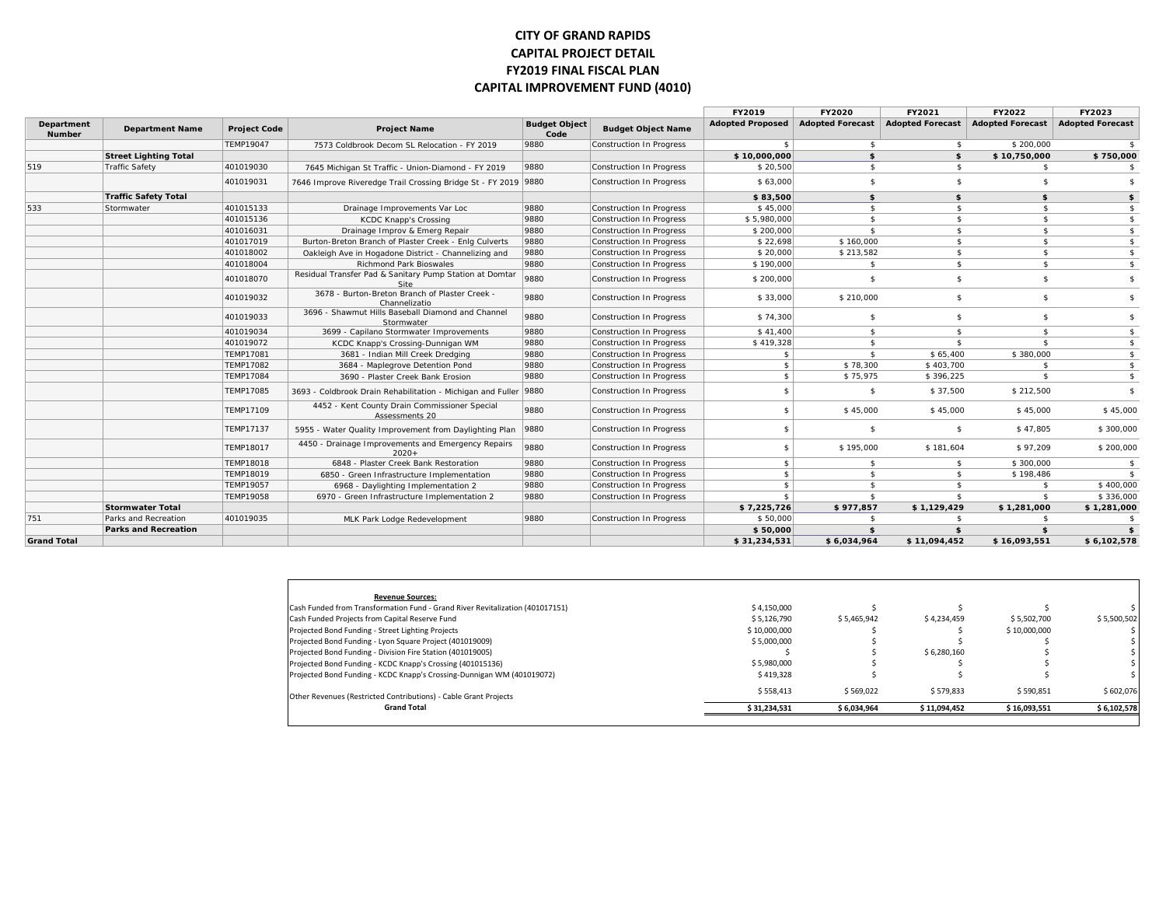#### **CITY OF GRAND RAPIDS CAPITAL PROJECT DETAIL FY2019 FINAL FISCAL PLAN CAPITAL IMPROVEMENT FUND (4010)**

|                             |                              |                     |                                                                        |                              |                           | FY2019                  | FY2020                  | FY2021                  | FY2022                  | FY2023                  |
|-----------------------------|------------------------------|---------------------|------------------------------------------------------------------------|------------------------------|---------------------------|-------------------------|-------------------------|-------------------------|-------------------------|-------------------------|
| Department<br><b>Number</b> | <b>Department Name</b>       | <b>Project Code</b> | <b>Project Name</b>                                                    | <b>Budget Object</b><br>Code | <b>Budget Object Name</b> | <b>Adopted Proposed</b> | <b>Adopted Forecast</b> | <b>Adopted Forecast</b> | <b>Adopted Forecast</b> | <b>Adopted Forecast</b> |
|                             |                              | TEMP19047           | 7573 Coldbrook Decom SL Relocation - FY 2019                           | 9880                         | Construction In Progress  | $\mathbf{\hat{z}}$      | -S                      | \$                      | \$200,000               |                         |
|                             | <b>Street Lighting Total</b> |                     |                                                                        |                              |                           | \$10,000,000            | \$                      | \$                      | \$10,750,000            | \$750,000               |
| 519                         | <b>Traffic Safety</b>        | 401019030           | 7645 Michigan St Traffic - Union-Diamond - FY 2019                     | 9880                         | Construction In Progress  | \$20,500                | $\mathbf{\hat{s}}$      | \$                      | \$                      | \$                      |
|                             |                              | 401019031           | 7646 Improve Riveredge Trail Crossing Bridge St - FY 2019 9880         |                              | Construction In Progress  | \$63,000                | $\mathbf{\hat{s}}$      | $\mathbf{\hat{S}}$      | $\mathbf{\hat{s}}$      | ፍ                       |
|                             | <b>Traffic Safety Total</b>  |                     |                                                                        |                              |                           | \$83,500                | \$                      | \$                      | \$                      | \$                      |
| 533                         | Stormwater                   | 401015133           | Drainage Improvements Var Loc                                          | 9880                         | Construction In Progress  | \$45,000                | \$                      | \$                      | - \$                    | \$                      |
|                             |                              | 401015136           | <b>KCDC Knapp's Crossing</b>                                           | 9880                         | Construction In Progress  | \$5,980,000             | \$                      | \$                      | \$                      | \$                      |
|                             |                              | 401016031           | Drainage Improv & Emerg Repair                                         | 9880                         | Construction In Progress  | \$200,000               | $\mathbf{\hat{S}}$      | $\mathbf{\hat{S}}$      | \$                      | $\sqrt{2}$              |
|                             |                              | 401017019           | Burton-Breton Branch of Plaster Creek - Enlg Culverts                  | 9880                         | Construction In Progress  | \$22,698                | \$160,000               | \$                      | $\mathbf{s}$            | \$                      |
|                             |                              | 401018002           | Oakleigh Ave in Hogadone District - Channelizing and                   | 9880                         | Construction In Progress  | \$20,000                | \$213,582               | \$                      | $\mathbf{s}$            | $\frac{1}{2}$           |
|                             |                              | 401018004           | <b>Richmond Park Bioswales</b>                                         | 9880                         | Construction In Progress  | \$190,000               | s.                      | \$                      | $\mathbf{s}$            | $$^{\circ}$             |
|                             |                              | 401018070           | Residual Transfer Pad & Sanitary Pump Station at Domtar<br><b>Site</b> | 9880                         | Construction In Progress  | \$200,000               | \$                      | \$                      | $\mathbb{S}$            | \$                      |
|                             |                              | 401019032           | 3678 - Burton-Breton Branch of Plaster Creek -<br>Channelizatio        | 9880                         | Construction In Progress  | \$33,000                | \$210,000               | \$                      | s.                      | $\mathbf{\hat{z}}$      |
|                             |                              | 401019033           | 3696 - Shawmut Hills Baseball Diamond and Channel<br>Stormwater        | 9880                         | Construction In Progress  | \$74,300                | $\mathbf{\hat{s}}$      | \$                      | $\mathbf{\hat{s}}$      | \$                      |
|                             |                              | 401019034           | 3699 - Capilano Stormwater Improvements                                | 9880                         | Construction In Progress  | \$41,400                | s.                      | \$                      | $\mathbb{S}$            | \$                      |
|                             |                              | 401019072           | KCDC Knapp's Crossing-Dunnigan WM                                      | 9880                         | Construction In Progress  | \$419,328               | $\mathbf{\hat{s}}$      | $\mathbf{\hat{S}}$      | $\mathbf{s}$            | \$                      |
|                             |                              | TEMP17081           | 3681 - Indian Mill Creek Dredging                                      | 9880                         | Construction In Progress  | $\mathbf{\hat{z}}$      | \$                      | \$65,400                | \$380,000               | $\frac{1}{2}$           |
|                             |                              | TEMP17082           | 3684 - Maplegrove Detention Pond                                       | 9880                         | Construction In Progress  | \$                      | \$78,300                | \$403,700               | $\mathbf{\hat{s}}$      | $\frac{2}{3}$           |
|                             |                              | <b>TEMP17084</b>    | 3690 - Plaster Creek Bank Erosion                                      | 9880                         | Construction In Progress  | \$                      | \$75,975                | \$396.225               | $\mathbf{s}$            | $\frac{4}{3}$           |
|                             |                              | <b>TEMP17085</b>    | 3693 - Coldbrook Drain Rehabilitation - Michigan and Fuller            | 9880                         | Construction In Progress  | \$                      | \$.                     | \$37,500                | \$212,500               | \$                      |
|                             |                              | TEMP17109           | 4452 - Kent County Drain Commissioner Special<br>Assessments 20        | 9880                         | Construction In Progress  | \$                      | \$45,000                | \$45,000                | \$45,000                | \$45,000                |
|                             |                              | <b>TEMP17137</b>    | 5955 - Water Quality Improvement from Daylighting Plan                 | 9880                         | Construction In Progress  | \$                      | \$                      | \$                      | \$47,805                | \$300,000               |
|                             |                              | <b>TEMP18017</b>    | 4450 - Drainage Improvements and Emergency Repairs<br>$2020+$          | 9880                         | Construction In Progress  |                         | \$195,000               | \$181,604               | \$97,209                | \$200,000               |
|                             |                              | <b>TEMP18018</b>    | 6848 - Plaster Creek Bank Restoration                                  | 9880                         | Construction In Progress  | \$                      | \$                      | \$                      | \$300,000               | $\sqrt{5}$              |
|                             |                              | TEMP18019           | 6850 - Green Infrastructure Implementation                             | 9880                         | Construction In Progress  | \$                      | $\mathbf{\hat{s}}$      | \$                      | \$198,486               | \$                      |
|                             |                              | TEMP19057           | 6968 - Daylighting Implementation 2                                    | 9880                         | Construction In Progress  | \$                      | $\mathbf{\hat{s}}$      | \$                      | -S                      | \$400,000               |
|                             |                              | TEMP19058           | 6970 - Green Infrastructure Implementation 2                           | 9880                         | Construction In Progress  | $\mathbf{\hat{z}}$      | $\mathbf{\hat{S}}$      | $\mathbf{\hat{S}}$      | \$                      | \$336,000               |
|                             | <b>Stormwater Total</b>      |                     |                                                                        |                              |                           | \$7,225,726             | \$977,857               | \$1,129,429             | \$1,281,000             | \$1,281,000             |
| 751                         | Parks and Recreation         | 401019035           | MLK Park Lodge Redevelopment                                           | 9880                         | Construction In Progress  | \$50,000                | -S                      | -\$                     |                         | -\$                     |
|                             | <b>Parks and Recreation</b>  |                     |                                                                        |                              |                           | \$50,000                | \$                      | \$                      | \$                      | \$                      |
| <b>Grand Total</b>          |                              |                     |                                                                        |                              |                           | \$31,234,531            | \$6,034,964             | \$11,094,452            | \$16,093,551            | \$6,102,578             |

| <b>Revenue Sources:</b>                                                       |              |             |              |              |             |
|-------------------------------------------------------------------------------|--------------|-------------|--------------|--------------|-------------|
| Cash Funded from Transformation Fund - Grand River Revitalization (401017151) | \$4.150.000  |             |              |              |             |
| Cash Funded Projects from Capital Reserve Fund                                | \$5.126.790  | \$5.465.942 | \$4,234,459  | \$5.502.700  | \$5.500.502 |
| Projected Bond Funding - Street Lighting Projects                             | \$10,000,000 |             |              | \$10,000,000 |             |
| Projected Bond Funding - Lyon Square Project (401019009)                      | \$5.000.000  |             |              |              |             |
| Projected Bond Funding - Division Fire Station (401019005)                    |              |             | \$6,280,160  |              |             |
| Projected Bond Funding - KCDC Knapp's Crossing (401015136)                    | \$5.980.000  |             |              |              |             |
| Projected Bond Funding - KCDC Knapp's Crossing-Dunnigan WM (401019072)        | \$419,328    |             |              |              |             |
| Other Revenues (Restricted Contributions) - Cable Grant Projects              | \$558.413    | \$569.022   | \$579.833    | \$590.851    | \$602.076   |
| <b>Grand Total</b>                                                            | \$31,234,531 | \$6,034,964 | \$11,094,452 | \$16,093,551 | \$6.102.578 |
|                                                                               |              |             |              |              |             |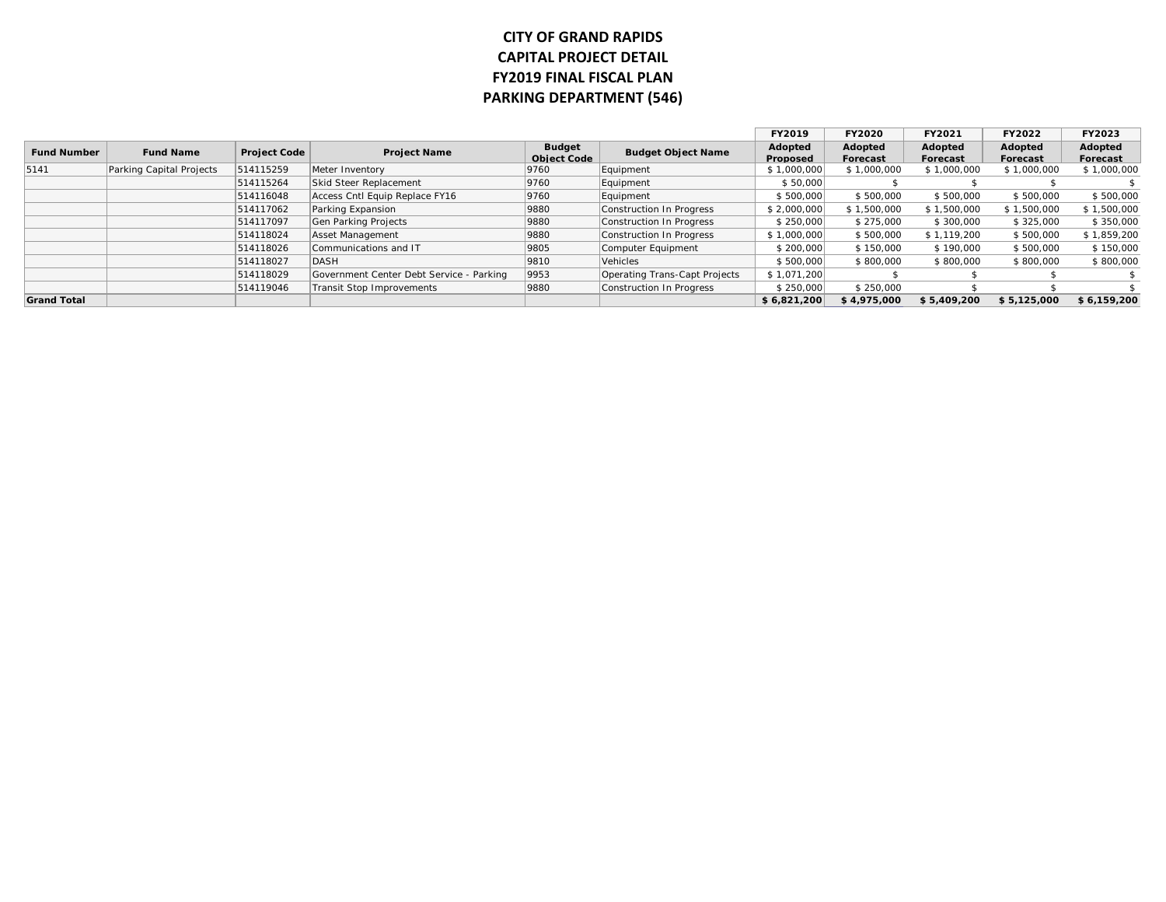## **CITY OF GRAND RAPIDS CAPITAL PROJECT DETAIL FY2019 FINAL FISCAL PLAN PARKING DEPARTMENT (546)**

|                    |                          |                     |                                          |                                     |                               | FY2019              | <b>FY2020</b>       | FY2021              | FY2022              | FY2023              |
|--------------------|--------------------------|---------------------|------------------------------------------|-------------------------------------|-------------------------------|---------------------|---------------------|---------------------|---------------------|---------------------|
| <b>Fund Number</b> | <b>Fund Name</b>         | <b>Project Code</b> | <b>Project Name</b>                      | <b>Budget</b><br><b>Object Code</b> | <b>Budget Object Name</b>     | Adopted<br>Proposed | Adopted<br>Forecast | Adopted<br>Forecast | Adopted<br>Forecast | Adopted<br>Forecast |
| 5141               | Parking Capital Projects | 514115259           | Meter Inventory                          | 9760                                | Equipment                     | \$1,000,000         | \$1,000,000         | \$1,000,000         | \$1,000,000         | \$1,000,000         |
|                    |                          | 514115264           | Skid Steer Replacement                   | 9760                                | Equipment                     | \$50,000            |                     |                     |                     |                     |
|                    |                          | 514116048           | Access Cntl Equip Replace FY16           | 9760                                | Equipment                     | \$500,000           | \$500,000           | \$500,000           | \$500,000           | \$500,000           |
|                    |                          | 514117062           | Parking Expansion                        | 9880                                | Construction In Progress      | \$2,000,000         | \$1,500,000         | \$1,500,000         | \$1,500,000         | \$1,500,000         |
|                    |                          | 514117097           | Gen Parking Projects                     | 9880                                | Construction In Progress      | \$250,000           | \$275,000           | \$300,000           | \$325,000           | \$350,000           |
|                    |                          | 514118024           | Asset Management                         | 9880                                | Construction In Progress      | \$1,000,000         | \$500,000           | \$1,119,200         | \$500,000           | \$1,859,200         |
|                    |                          | 514118026           | Communications and IT                    | 9805                                | Computer Equipment            | \$200,000           | \$150,000           | \$190,000           | \$500,000           | \$150,000           |
|                    |                          | 514118027           | DASH                                     | 9810                                | Vehicles                      | \$500,000           | \$800,000           | \$800,000           | \$800,000           | \$800,000           |
|                    |                          | 514118029           | Government Center Debt Service - Parking | 9953                                | Operating Trans-Capt Projects | \$1,071,200         |                     |                     |                     |                     |
|                    |                          | 514119046           | <b>Transit Stop Improvements</b>         | 9880                                | Construction In Progress      | \$250,000           | \$250,000           |                     |                     |                     |
| <b>Grand Total</b> |                          |                     |                                          |                                     |                               | \$6,821,200         | \$4,975,000         | \$5,409,200         | \$5,125,000         | \$6,159,200         |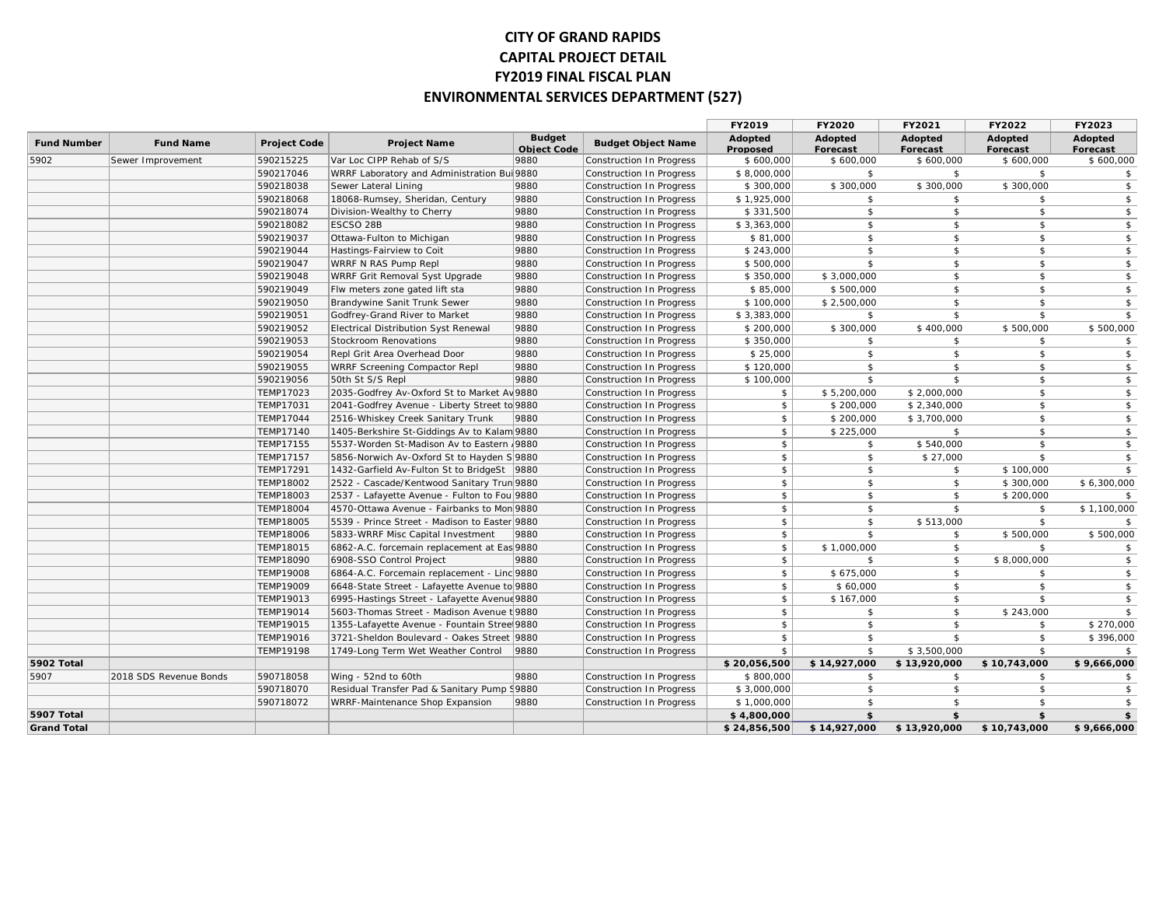## **CITY OF GRAND RAPIDS CAPITAL PROJECT DETAIL FY2019 FINAL FISCAL PLAN ENVIRONMENTAL SERVICES DEPARTMENT (527)**

|                    |                        |                     |                                               |                                     |                                 | FY2019              | FY2020              | FY2021              | FY2022              | FY2023              |
|--------------------|------------------------|---------------------|-----------------------------------------------|-------------------------------------|---------------------------------|---------------------|---------------------|---------------------|---------------------|---------------------|
| <b>Fund Number</b> | <b>Fund Name</b>       | <b>Project Code</b> | <b>Project Name</b>                           | <b>Budget</b><br><b>Object Code</b> | <b>Budget Object Name</b>       | Adopted<br>Proposed | Adopted<br>Forecast | Adopted<br>Forecast | Adopted<br>Forecast | Adopted<br>Forecast |
| 5902               | Sewer Improvement      | 590215225           | Var Loc CIPP Rehab of S/S                     | 9880                                | Construction In Progress        | \$600,000           | \$600,000           | \$600,000           | \$600,000           | \$600,000           |
|                    |                        | 590217046           | WRRF Laboratory and Administration Bul 9880   |                                     | Construction In Progress        | \$8,000,000         | \$                  | \$                  | \$                  | $\mathsf{\$}$       |
|                    |                        | 590218038           | Sewer Lateral Lining                          | 9880                                | Construction In Progress        | \$300,000           | \$300,000           | \$300,000           | \$300,000           | $\mathsf{\$}$       |
|                    |                        | 590218068           | 18068-Rumsey, Sheridan, Century               | 9880                                | Construction In Progress        | \$1,925,000         | \$                  | \$                  | \$                  | $\mathsf{\$}$       |
|                    |                        | 590218074           | Division-Wealthy to Cherry                    | 9880                                | Construction In Progress        | \$331,500           | \$                  | \$                  | \$                  | \$                  |
|                    |                        | 590218082           | ESCSO 28B                                     | 9880                                | Construction In Progress        | \$3,363,000         | $\mathfrak{S}$      | \$                  | $\mathsf{\$}$       | $\sqrt{2}$          |
|                    |                        | 590219037           | Ottawa-Fulton to Michigan                     | 9880                                | Construction In Progress        | \$81,000            | \$                  | \$                  | \$                  | $\frac{1}{2}$       |
|                    |                        | 590219044           | Hastings-Fairview to Coit                     | 9880                                | Construction In Progress        | \$243,000           | \$                  | \$                  | \$                  | $\sqrt{2}$          |
|                    |                        | 590219047           | WRRF N RAS Pump Repl                          | 9880                                | Construction In Progress        | \$500,000           | $\mathfrak{S}$      | $\mathfrak{S}$      | $\mathsf{\$}$       | $\frac{1}{2}$       |
|                    |                        | 590219048           | WRRF Grit Removal Syst Upgrade                | 9880                                | Construction In Progress        | \$350,000           | \$3,000,000         | \$                  | \$                  | $\mathfrak{S}$      |
|                    |                        | 590219049           | Flw meters zone gated lift sta                | 9880                                | Construction In Progress        | \$85,000            | \$500,000           | $\mathfrak{S}$      | $\mathsf{\$}$       | $$\mathbb{S}$$      |
|                    |                        | 590219050           | Brandywine Sanit Trunk Sewer                  | 9880                                | Construction In Progress        | \$100,000           | \$2,500,000         | \$                  | \$                  | $\sqrt{2}$          |
|                    |                        | 590219051           | Godfrey-Grand River to Market                 | 9880                                | Construction In Progress        | \$3,383,000         | \$                  | \$                  | \$                  | $\mathfrak{S}$      |
|                    |                        | 590219052           | <b>Electrical Distribution Syst Renewal</b>   | 9880                                | Construction In Progress        | \$200,000           | \$300,000           | \$400,000           | \$500,000           | \$500,000           |
|                    |                        | 590219053           | Stockroom Renovations                         | 9880                                | Construction In Progress        | \$350,000           | \$                  | \$                  | \$                  | \$                  |
|                    |                        | 590219054           | Repl Grit Area Overhead Door                  | 9880                                | Construction In Progress        | \$25,000            | $\mathfrak{S}$      | \$                  | \$                  | \$                  |
|                    |                        | 590219055           | WRRF Screening Compactor Repl                 | 9880                                | Construction In Progress        | \$120,000           | $\mathfrak{S}$      | \$                  | \$                  | $\mathfrak{S}$      |
|                    |                        | 590219056           | 50th St S/S Repl                              | 9880                                | Construction In Progress        | \$100,000           | $\mathbf{s}$        | $\mathsf{s}$        | $\mathbf{s}$        | $\mathsf{\$}$       |
|                    |                        | <b>TEMP17023</b>    | 2035-Godfrey Av-Oxford St to Market Av 9880   |                                     | Construction In Progress        | \$                  | \$5,200,000         | \$2,000,000         | \$                  | $\mathfrak{S}$      |
|                    |                        | <b>TEMP17031</b>    | 2041-Godfrey Avenue - Liberty Street to 9880  |                                     | Construction In Progress        | $\mathfrak{S}$      | \$200,000           | \$2,340,000         | \$                  | $$\mathbb{S}$$      |
|                    |                        | <b>TEMP17044</b>    | 2516-Whiskey Creek Sanitary Trunk             | 9880                                | <b>Construction In Progress</b> | $\mathfrak{S}$      | \$200,000           | \$3,700,000         | \$                  | $\mathsf{\$}$       |
|                    |                        | <b>TEMP17140</b>    | 1405-Berkshire St-Giddings Av to Kalam 9880   |                                     | Construction In Progress        | \$                  | \$225,000           | \$                  | \$                  | $\sqrt{2}$          |
|                    |                        | TEMP17155           | 5537-Worden St-Madison Av to Eastern   9880   |                                     | Construction In Progress        | \$                  | \$                  | \$540,000           | \$                  | \$                  |
|                    |                        | <b>TEMP17157</b>    | 5856-Norwich Av-Oxford St to Hayden S 9880    |                                     | Construction In Progress        | $\mathfrak{S}$      | $\mathfrak{S}$      | \$27,000            | \$                  | $\sqrt{2}$          |
|                    |                        | TEMP17291           | 1432-Garfield Av-Fulton St to BridgeSt   9880 |                                     | Construction In Progress        | $\mathfrak{S}$      | $\mathfrak{S}$      | \$                  | \$100,000           | \$                  |
|                    |                        | <b>TEMP18002</b>    | 2522 - Cascade/Kentwood Sanitary Trun 9880    |                                     | Construction In Progress        | $\sqrt{2}$          | $\mathfrak{S}$      | \$                  | \$300,000           | \$6,300,000         |
|                    |                        | TEMP18003           | 2537 - Lafayette Avenue - Fulton to Fou 9880  |                                     | Construction In Progress        | \$                  | $\mathfrak{S}$      | \$                  | \$200,000           | $\mathfrak{S}$      |
|                    |                        | <b>TEMP18004</b>    | 4570-Ottawa Avenue - Fairbanks to Mon 9880    |                                     | Construction In Progress        | \$                  | $\mathfrak{S}$      | \$                  | \$                  | \$1,100,000         |
|                    |                        | <b>TEMP18005</b>    | 5539 - Prince Street - Madison to Easter 9880 |                                     | Construction In Progress        | $\mathfrak{S}$      | $\mathfrak{S}$      | \$513,000           | \$                  | \$                  |
|                    |                        | <b>TEMP18006</b>    | 5833-WRRF Misc Capital Investment             | 9880                                | Construction In Progress        | $\mathfrak{S}$      | $\mathfrak{S}$      | \$                  | \$500,000           | \$500,000           |
|                    |                        | TEMP18015           | 6862-A.C. forcemain replacement at Eas 9880   |                                     | Construction In Progress        | \$                  | \$1,000,000         | \$                  | \$                  | $\sqrt{2}$          |
|                    |                        | <b>TEMP18090</b>    | 6908-SSO Control Project                      | 9880                                | Construction In Progress        | $\mathfrak{S}$      | \$                  | \$                  | \$8,000,000         | $\mathsf{\$}$       |
|                    |                        | <b>TEMP19008</b>    | 6864-A.C. Forcemain replacement - Linc 9880   |                                     | Construction In Progress        | $\mathfrak{S}$      | \$675,000           | $\sqrt{2}$          | \$                  | $\sqrt{2}$          |
|                    |                        | <b>TEMP19009</b>    | 6648-State Street - Lafayette Avenue to 9880  |                                     | Construction In Progress        | $\mathfrak{S}$      | \$60,000            | $\mathsf{\$}$       | $\mathsf{\$}$       | $\mathfrak{S}$      |
|                    |                        | TEMP19013           | 6995-Hastings Street - Lafayette Avenue 9880  |                                     | Construction In Progress        | \$                  | \$167,000           | \$                  | \$                  | \$                  |
|                    |                        | TEMP19014           | 5603-Thomas Street - Madison Avenue t 9880    |                                     | Construction In Progress        | $\mathfrak{S}$      | \$                  | \$                  | \$243,000           | $\mathsf{s}$        |
|                    |                        | TEMP19015           | 1355-Lafayette Avenue - Fountain Stree 9880   |                                     | Construction In Progress        | \$                  | \$                  | \$                  | \$                  | \$270,000           |
|                    |                        | TEMP19016           | 3721-Sheldon Boulevard - Oakes Street   9880  |                                     | Construction In Progress        | $\mathfrak{S}$      | \$                  | $\mathsf{\$}$       | \$                  | \$396,000           |
|                    |                        | TEMP19198           | 1749-Long Term Wet Weather Control            | 9880                                | Construction In Progress        | \$                  | $\mathfrak{S}$      | \$3,500,000         | \$                  | \$                  |
| 5902 Total         |                        |                     |                                               |                                     |                                 | \$20,056,500        | \$14,927,000        | \$13,920,000        | \$10,743,000        | \$9,666,000         |
| 5907               | 2018 SDS Revenue Bonds | 590718058           | Wing - 52nd to 60th                           | 9880                                | Construction In Progress        | \$800,000           | $\mathfrak{S}$      | \$                  | \$                  | $\sqrt{2}$          |
|                    |                        | 590718070           | Residual Transfer Pad & Sanitary Pump \9880   |                                     | Construction In Progress        | \$3,000,000         | $\mathfrak{S}$      | \$                  | \$                  | $\sqrt{2}$          |
|                    |                        | 590718072           | WRRF-Maintenance Shop Expansion               | 9880                                | Construction In Progress        | \$1,000,000         | $\mathfrak{S}$      | $\mathsf{\$}$       | \$                  | $\sqrt{2}$          |
| <b>5907 Total</b>  |                        |                     |                                               |                                     |                                 | \$4,800,000         | \$                  | \$                  | \$                  | \$                  |
| <b>Grand Total</b> |                        |                     |                                               |                                     |                                 | \$24,856,500        | \$14,927,000        | \$13,920,000        | \$10,743,000        | \$9,666,000         |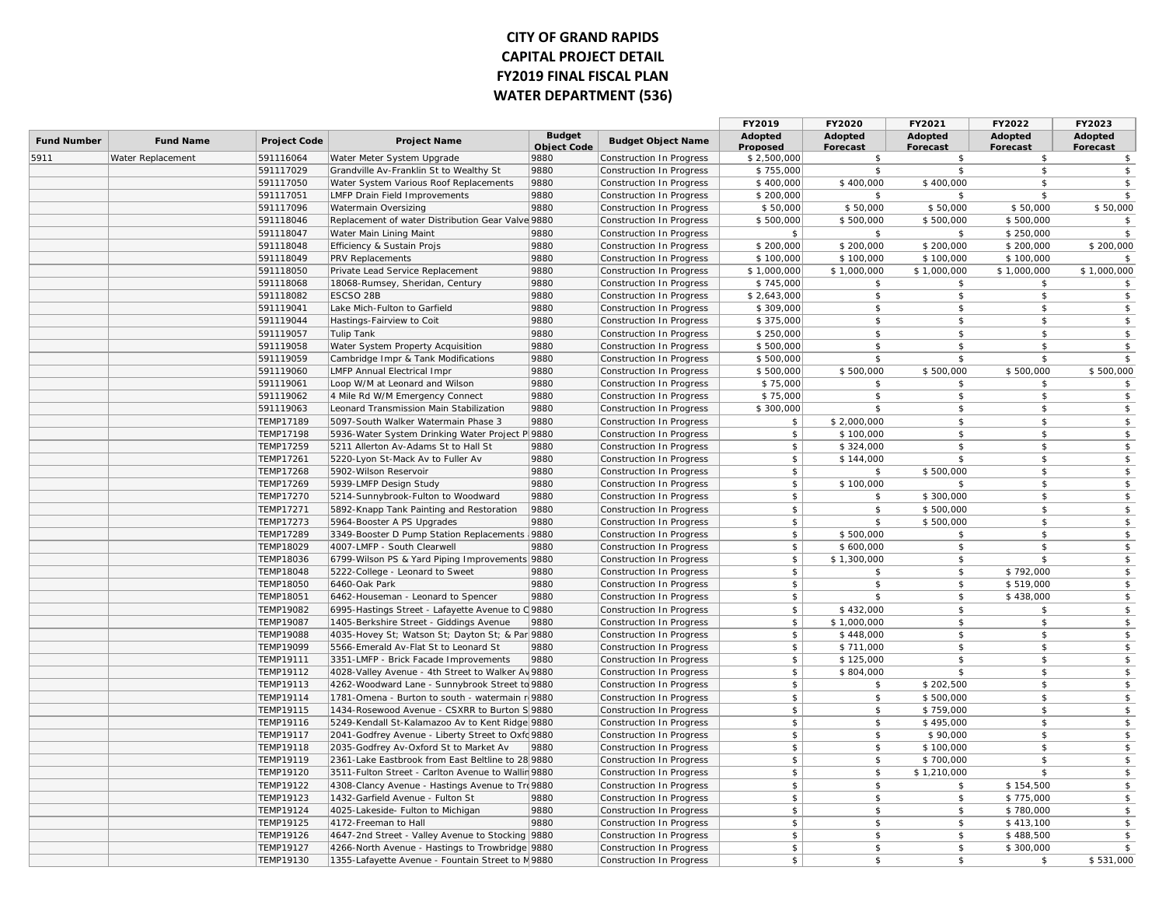## **CITY OF GRAND RAPIDS CAPITAL PROJECT DETAIL FY2019 FINAL FISCAL PLAN WATER DEPARTMENT (536)**

|                    |                   |                     |                                                    |                                     |                           | FY2019                     | FY2020                     | FY2021                     | FY2022              | FY2023                     |
|--------------------|-------------------|---------------------|----------------------------------------------------|-------------------------------------|---------------------------|----------------------------|----------------------------|----------------------------|---------------------|----------------------------|
| <b>Fund Number</b> | <b>Fund Name</b>  | <b>Project Code</b> | <b>Project Name</b>                                | <b>Budget</b><br><b>Object Code</b> | <b>Budget Object Name</b> | Adopted<br><b>Proposed</b> | Adopted<br><b>Forecast</b> | Adopted<br><b>Forecast</b> | Adopted<br>Forecast | Adopted<br><b>Forecast</b> |
| 5911               | Water Replacement | 591116064           | Water Meter System Upgrade                         | 9880                                | Construction In Progress  | \$2,500,000                | \$                         | \$                         | \$                  | \$                         |
|                    |                   | 591117029           | Grandville Av-Franklin St to Wealthy St            | 9880                                | Construction In Progress  | \$755,000                  | \$                         | \$                         | \$                  | $\mathfrak{S}$             |
|                    |                   | 591117050           | Water System Various Roof Replacements             | 9880                                | Construction In Progress  | \$400,000                  | \$400,000                  | \$400,000                  | $\mathbf{s}$        | \$                         |
|                    |                   | 591117051           | LMFP Drain Field Improvements                      | 9880                                | Construction In Progress  | \$200,000                  | \$                         | \$                         | $\mathsf{s}$        | $\frac{1}{2}$              |
|                    |                   | 591117096           | Watermain Oversizing                               | 9880                                | Construction In Progress  | \$50,000                   | \$50,000                   | \$50,000                   | \$50,000            | \$50,000                   |
|                    |                   | 591118046           | Replacement of water Distribution Gear Valve 9880  |                                     | Construction In Progress  | \$500,000                  | \$500,000                  | \$500,000                  | \$500,000           | \$                         |
|                    |                   | 591118047           | Water Main Lining Maint                            | 9880                                | Construction In Progress  | -\$                        | \$                         | \$                         | \$250,000           | \$                         |
|                    |                   | 591118048           | Efficiency & Sustain Projs                         | 9880                                | Construction In Progress  | \$200,000                  | \$200,000                  | \$200,000                  | \$200,000           | \$200,000                  |
|                    |                   | 591118049           | PRV Replacements                                   | 9880                                | Construction In Progress  | \$100,000                  | \$100,000                  | \$100,000                  | \$100,000           | \$                         |
|                    |                   | 591118050           | Private Lead Service Replacement                   | 9880                                | Construction In Progress  | \$1,000,000                | \$1,000,000                | \$1,000,000                | \$1,000,000         | \$1,000,000                |
|                    |                   | 591118068           | 18068-Rumsey, Sheridan, Century                    | 9880                                | Construction In Progress  | \$745,000                  | \$                         | \$                         | <sup>\$</sup>       | \$                         |
|                    |                   | 591118082           | ESCSO 28B                                          | 9880                                | Construction In Progress  | \$2,643,000                | \$                         | \$                         | \$                  | \$                         |
|                    |                   | 591119041           | Lake Mich-Fulton to Garfield                       | 9880                                | Construction In Progress  | \$309,000                  | \$                         | \$                         | \$                  | \$                         |
|                    |                   | 591119044           | Hastings-Fairview to Coit                          | 9880                                | Construction In Progress  | \$375,000                  | \$                         | \$                         | \$                  | $\frac{1}{2}$              |
|                    |                   | 591119057           | <b>Tulip Tank</b>                                  | 9880                                | Construction In Progress  | \$250,000                  | \$                         | \$                         | \$                  | \$                         |
|                    |                   | 591119058           | Water System Property Acquisition                  | 9880                                | Construction In Progress  | \$500,000                  | $\mathbf{s}$               | \$                         | \$                  | $\frac{1}{2}$              |
|                    |                   | 591119059           | Cambridge Impr & Tank Modifications                | 9880                                | Construction In Progress  | \$500,000                  | $\mathfrak{S}$             | \$                         | $\mathsf{s}$        | \$                         |
|                    |                   | 591119060           | <b>LMFP Annual Electrical Impr</b>                 | 9880                                | Construction In Progress  | \$500,000                  | \$500,000                  | \$500,000                  | \$500,000           | \$500,000                  |
|                    |                   | 591119061           | Loop W/M at Leonard and Wilson                     | 9880                                | Construction In Progress  | \$75,000                   | $\mathbf{s}$               | \$                         | \$                  | \$                         |
|                    |                   | 591119062           | 4 Mile Rd W/M Emergency Connect                    | 9880                                | Construction In Progress  | \$75,000                   | $\mathbf{s}$               | \$                         | \$                  | $\frac{1}{2}$              |
|                    |                   | 591119063           | Leonard Transmission Main Stabilization            | 9880                                | Construction In Progress  | \$300,000                  | $\mathfrak{S}$             | \$                         | \$                  | $\frac{1}{2}$              |
|                    |                   | <b>TEMP17189</b>    | 5097-South Walker Watermain Phase 3                | 9880                                | Construction In Progress  | \$                         | \$2,000,000                | \$                         | \$                  | $\frac{1}{2}$              |
|                    |                   | <b>TEMP17198</b>    | 5936-Water System Drinking Water Project P 9880    |                                     | Construction In Progress  | $\sqrt{2}$                 | \$100,000                  | \$                         | \$                  | $\frac{1}{2}$              |
|                    |                   | <b>TEMP17259</b>    | 5211 Allerton Av-Adams St to Hall St               | 9880                                | Construction In Progress  | $\sqrt{2}$                 | \$324,000                  | \$                         | \$                  | $\frac{1}{2}$              |
|                    |                   | <b>TEMP17261</b>    | 5220-Lyon St-Mack Av to Fuller Av                  | 9880                                | Construction In Progress  | $\sqrt{2}$                 | \$144,000                  | \$                         | \$                  | $\frac{1}{2}$              |
|                    |                   | <b>TEMP17268</b>    | 5902-Wilson Reservoir                              | 9880                                | Construction In Progress  | $\sqrt{2}$                 | $\mathfrak{S}$             | \$500,000                  | \$                  | $\frac{1}{2}$              |
|                    |                   | <b>TEMP17269</b>    | 5939-LMFP Design Study                             | 9880                                | Construction In Progress  | \$                         | \$100,000                  | \$                         | \$                  | $\frac{1}{2}$              |
|                    |                   | <b>TEMP17270</b>    | 5214-Sunnybrook-Fulton to Woodward                 | 9880                                | Construction In Progress  | $\sqrt{2}$                 | $\mathfrak{S}$             | \$300,000                  | \$                  | $\frac{1}{2}$              |
|                    |                   | TEMP17271           | 5892-Knapp Tank Painting and Restoration           | 9880                                | Construction In Progress  | $$\mathbb{S}$$             | \$                         | \$500,000                  | \$                  | $\frac{1}{2}$              |
|                    |                   | TEMP17273           | 5964-Booster A PS Upgrades                         | 9880                                | Construction In Progress  | \$                         | \$                         | \$500,000                  | \$                  | $\frac{1}{2}$              |
|                    |                   | <b>TEMP17289</b>    | 3349-Booster D Pump Station Replacements   9880    |                                     | Construction In Progress  | \$                         | \$500,000                  | \$                         | \$                  | $\frac{1}{2}$              |
|                    |                   | TEMP18029           | 4007-LMFP - South Clearwell                        | 9880                                | Construction In Progress  | $\sqrt{2}$                 | \$600,000                  | \$                         | \$                  | $\frac{1}{2}$              |
|                    |                   | TEMP18036           | 6799-Wilson PS & Yard Piping Improvements 9880     |                                     | Construction In Progress  | $$\mathbb{S}$$             | \$1,300,000                | \$                         | \$                  | $\frac{1}{2}$              |
|                    |                   | <b>TEMP18048</b>    | 5222-College - Leonard to Sweet                    | 9880                                | Construction In Progress  | \$                         | $\hat{\mathbf{r}}$         | \$                         | \$792,000           | $\frac{1}{2}$              |
|                    |                   | <b>TEMP18050</b>    | 6460-Oak Park                                      | 9880                                | Construction In Progress  | \$                         | $\mathfrak{S}$             | \$                         | \$519,000           | $\mathcal{S}$              |
|                    |                   | TEMP18051           | 6462-Houseman - Leonard to Spencer                 | 9880                                | Construction In Progress  | \$                         | $\mathfrak{S}$             | \$                         | \$438,000           | \$                         |
|                    |                   | TEMP19082           | 6995-Hastings Street - Lafayette Avenue to C 9880  |                                     | Construction In Progress  | \$                         | \$432,000                  | \$                         | \$                  | $\frac{1}{2}$              |
|                    |                   | <b>TEMP19087</b>    | 1405-Berkshire Street - Giddings Avenue            | 9880                                | Construction In Progress  | $\sqrt{2}$                 | \$1,000,000                | \$                         | \$                  | $\mathcal{S}$              |
|                    |                   | <b>TEMP19088</b>    | 4035-Hovey St; Watson St; Dayton St; & Par 9880    |                                     | Construction In Progress  | \$                         | \$448,000                  | \$                         | \$                  | $\frac{1}{2}$              |
|                    |                   | TEMP19099           | 5566-Emerald Av-Flat St to Leonard St              | 9880                                | Construction In Progress  | \$                         | \$711,000                  | \$                         | \$                  | $\frac{1}{2}$              |
|                    |                   | <b>TEMP19111</b>    | 3351-LMFP - Brick Facade Improvements              | 9880                                | Construction In Progress  | \$                         | \$125,000                  | \$                         | \$                  | $\frac{1}{2}$              |
|                    |                   | TEMP19112           | 4028-Valley Avenue - 4th Street to Walker Av 9880  |                                     | Construction In Progress  | $\sqrt{2}$                 | \$804,000                  | \$                         | \$                  | $\frac{1}{2}$              |
|                    |                   | TEMP19113           | 4262-Woodward Lane - Sunnybrook Street to 9880     |                                     | Construction In Progress  | \$                         | \$                         | \$202,500                  | \$                  | $\frac{1}{2}$              |
|                    |                   | TEMP19114           | 1781-Omena - Burton to south - watermain r 9880    |                                     | Construction In Progress  | \$                         | \$                         | \$500,000                  | \$                  | \$                         |
|                    |                   | <b>TEMP19115</b>    | 1434-Rosewood Avenue - CSXRR to Burton S 9880      |                                     | Construction In Progress  | $\sqrt{2}$                 | \$                         | \$759,000                  | \$                  | $\frac{1}{2}$              |
|                    |                   | TEMP19116           | 5249-Kendall St-Kalamazoo Av to Kent Ridge 9880    |                                     | Construction In Progress  | \$                         | $\mathfrak{S}$             | \$495,000                  | \$                  | \$                         |
|                    |                   | TEMP19117           | 2041-Godfrey Avenue - Liberty Street to Oxfd 9880  |                                     | Construction In Progress  | \$                         | \$                         | \$90,000                   | \$                  | $\frac{1}{2}$              |
|                    |                   | TEMP19118           | 2035-Godfrey Av-Oxford St to Market Av             | 9880                                | Construction In Progress  | \$                         | \$                         | \$100,000                  | \$                  | $\frac{1}{2}$              |
|                    |                   | TEMP19119           | 2361-Lake Eastbrook from East Beltline to 28 9880  |                                     | Construction In Progress  | \$                         | \$                         | \$700,000                  | \$                  | $\frac{1}{2}$              |
|                    |                   | <b>TEMP19120</b>    | 3511-Fulton Street - Carlton Avenue to Wallin 9880 |                                     | Construction In Progress  | \$                         | \$                         | \$1,210,000                | \$                  | \$                         |
|                    |                   | <b>TEMP19122</b>    | 4308-Clancy Avenue - Hastings Avenue to Tro 9880   |                                     | Construction In Progress  | $\sqrt{2}$                 | \$                         | \$                         | \$154,500           | $\frac{1}{2}$              |
|                    |                   | TEMP19123           | 1432-Garfield Avenue - Fulton St                   | 9880                                | Construction In Progress  | $\sqrt{2}$                 | \$                         | \$                         | \$775,000           | \$                         |
|                    |                   | TEMP19124           | 4025-Lakeside- Fulton to Michigan                  | 9880                                | Construction In Progress  | \$                         | \$                         | \$                         | \$780,000           | \$                         |
|                    |                   | TEMP19125           | 4172-Freeman to Hall                               | 9880                                | Construction In Progress  | $\sqrt{2}$                 | \$                         | \$                         | \$413,100           | $\frac{1}{2}$              |
|                    |                   | TEMP19126           | 4647-2nd Street - Valley Avenue to Stocking 9880   |                                     | Construction In Progress  | $$\mathbb{S}$$             | \$                         | \$                         | \$488,500           | \$                         |
|                    |                   | <b>TEMP19127</b>    | 4266-North Avenue - Hastings to Trowbridge 9880    |                                     | Construction In Progress  | \$                         | $\mathbb{S}$               | \$                         | \$300,000           | \$                         |
|                    |                   | TEMP19130           | 1355-Lafayette Avenue - Fountain Street to M9880   |                                     | Construction In Progress  | $\sqrt{2}$                 | \$                         | \$                         | \$                  | \$531,000                  |
|                    |                   |                     |                                                    |                                     |                           |                            |                            |                            |                     |                            |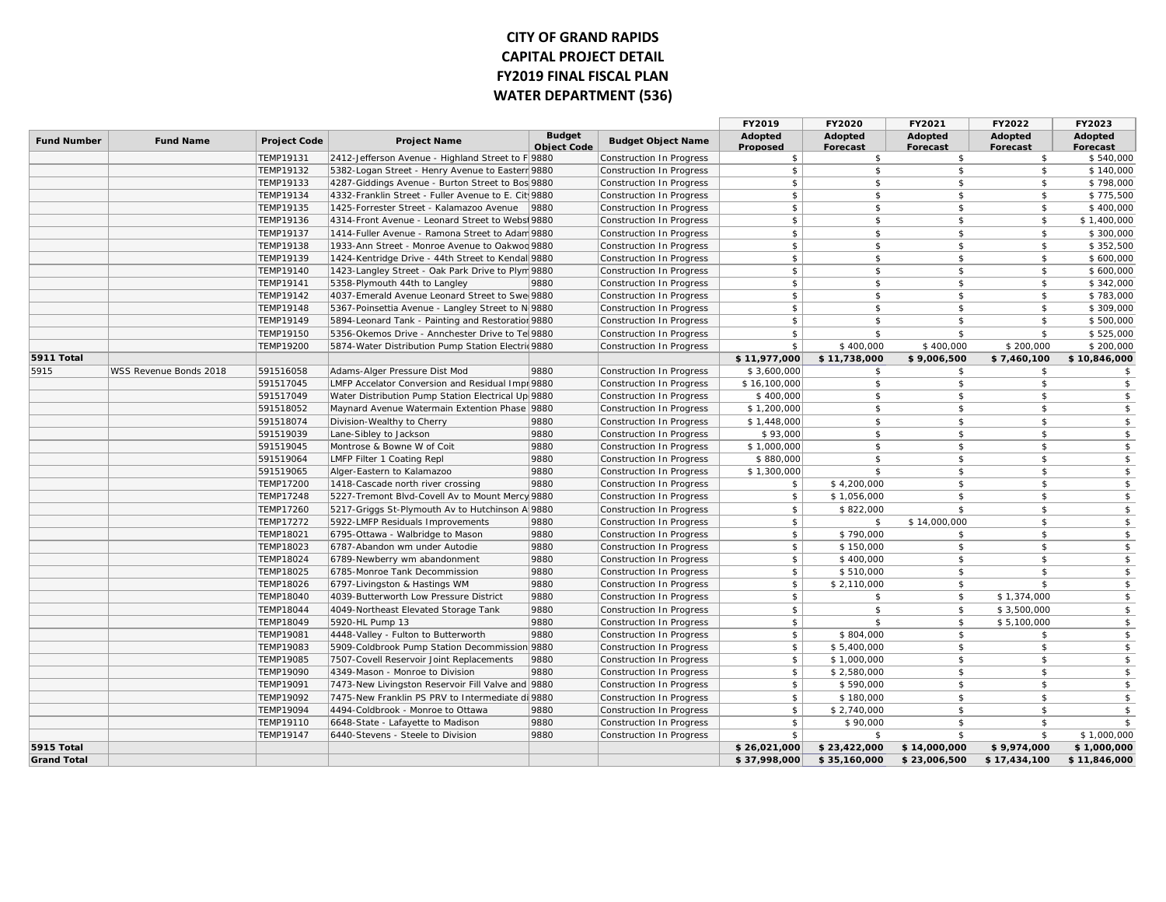## **CITY OF GRAND RAPIDS CAPITAL PROJECT DETAIL FY2019 FINAL FISCAL PLAN WATER DEPARTMENT (536)**

|                    |                        |                     |                                                     |                                     |                                                      | FY2019              | FY2020                     | FY2021                     | FY2022              | FY2023              |
|--------------------|------------------------|---------------------|-----------------------------------------------------|-------------------------------------|------------------------------------------------------|---------------------|----------------------------|----------------------------|---------------------|---------------------|
| <b>Fund Number</b> | <b>Fund Name</b>       | <b>Project Code</b> | <b>Project Name</b>                                 | <b>Budget</b><br><b>Object Code</b> | <b>Budget Object Name</b>                            | Adopted<br>Proposed | Adopted<br><b>Forecast</b> | Adopted<br><b>Forecast</b> | Adopted<br>Forecast | Adopted<br>Forecast |
|                    |                        | TEMP19131           | 2412-Jefferson Avenue - Highland Street to F 9880   |                                     | Construction In Progress                             | \$                  | \$                         | \$                         | \$                  | \$540,000           |
|                    |                        | TEMP19132           | 5382-Logan Street - Henry Avenue to Easterr 9880    |                                     | Construction In Progress                             | \$                  | \$                         | \$                         | \$                  | \$140,000           |
|                    |                        | TEMP19133           | 4287-Giddings Avenue - Burton Street to Bos 9880    |                                     | Construction In Progress                             | $\mathfrak{S}$      | \$                         | \$                         | \$                  | \$798,000           |
|                    |                        | TEMP19134           | 4332-Franklin Street - Fuller Avenue to E. Cit 9880 |                                     | Construction In Progress                             | \$                  | \$                         | \$                         | \$                  | \$775,500           |
|                    |                        | TEMP19135           | 1425-Forrester Street - Kalamazoo Avenue            | 9880                                | <b>Construction In Progress</b>                      | $\mathsf{\$}$       | $\mathsf{\$}$              | \$                         | \$                  | \$400,000           |
|                    |                        | TEMP19136           | 4314-Front Avenue - Leonard Street to Webst 9880    |                                     | Construction In Progress                             | \$                  | \$                         | \$                         | \$                  | \$1,400,000         |
|                    |                        | TEMP19137           | 1414-Fuller Avenue - Ramona Street to Adam 9880     |                                     | Construction In Progress                             | $\mathfrak{S}$      | $\mathsf{\$}$              | \$                         | \$                  | \$300,000           |
|                    |                        | TEMP19138           | 1933-Ann Street - Monroe Avenue to Oakwoo 9880      |                                     | Construction In Progress                             | \$                  | \$                         | \$                         | \$                  | \$352,500           |
|                    |                        | TEMP19139           | 1424-Kentridge Drive - 44th Street to Kendal 9880   |                                     | Construction In Progress                             | $\sqrt{5}$          | $\mathsf{\$}$              | \$                         | \$                  | \$600,000           |
|                    |                        | TEMP19140           | 1423-Langley Street - Oak Park Drive to Plym 9880   |                                     | Construction In Progress                             | \$                  | \$                         | \$                         | \$                  | \$600,000           |
|                    |                        | TEMP19141           | 5358-Plymouth 44th to Langley                       | 9880                                | Construction In Progress                             | \$                  | \$                         | \$                         | \$                  | \$342,000           |
|                    |                        | TEMP19142           | 4037-Emerald Avenue Leonard Street to Swe 9880      |                                     | Construction In Progress                             | \$                  | \$                         | \$                         | \$                  | \$783,000           |
|                    |                        | TEMP19148           | 5367-Poinsettia Avenue - Langley Street to N 9880   |                                     | Construction In Progress                             | \$                  | \$                         | \$                         | \$                  | \$309,000           |
|                    |                        | TEMP19149           | 5894-Leonard Tank - Painting and Restoratior 9880   |                                     | Construction In Progress                             | \$                  | $\mathsf{\$}$              | \$                         | \$                  | \$500,000           |
|                    |                        | <b>TEMP19150</b>    | 5356-Okemos Drive - Annchester Drive to Tel 9880    |                                     | Construction In Progress                             | $\mathfrak{S}$      | \$                         | \$                         | \$                  | \$525,000           |
|                    |                        | <b>TEMP19200</b>    | 5874-Water Distribution Pump Station Electric 9880  |                                     | Construction In Progress                             | \$                  | \$400,000                  | \$400,000                  | \$200,000           | \$200,000           |
| 5911 Total         |                        |                     |                                                     |                                     |                                                      | \$11,977,000        | \$11,738,000               | \$9,006,500                | \$7,460,100         | \$10,846,000        |
| 5915               | WSS Revenue Bonds 2018 | 591516058           | Adams-Alger Pressure Dist Mod                       | 9880                                | Construction In Progress                             | \$3,600,000         | \$                         | \$                         | \$                  | \$                  |
|                    |                        | 591517045           | LMFP Accelator Conversion and Residual Impr 9880    |                                     | Construction In Progress                             | \$16,100,000        | \$                         | \$                         | \$                  | $\frac{1}{2}$       |
|                    |                        | 591517049           | Water Distribution Pump Station Electrical Up 9880  |                                     | Construction In Progress                             | \$400,000           | \$                         | \$                         | \$                  | $\sqrt{2}$          |
|                    |                        | 591518052           | Maynard Avenue Watermain Extention Phase   9880     |                                     | Construction In Progress                             | \$1,200,000         | \$                         | \$                         | \$                  | \$                  |
|                    |                        | 591518074           | Division-Wealthy to Cherry                          | 9880                                | Construction In Progress                             | \$1,448,000         | \$                         | \$                         | \$                  | $\frac{1}{2}$       |
|                    |                        | 591519039           | Lane-Sibley to Jackson                              | 9880                                | Construction In Progress                             | \$93,000            | $\mathsf{\$}$              | \$                         | \$                  | \$                  |
|                    |                        | 591519045           | Montrose & Bowne W of Coit                          | 9880                                | Construction In Progress                             | \$1,000,000         | \$                         | \$                         | \$                  | $\frac{1}{2}$       |
|                    |                        | 591519064           | LMFP Filter 1 Coating Repl                          | 9880                                | Construction In Progress                             | \$880,000           | \$                         | \$                         | \$                  | $\frac{1}{2}$       |
|                    |                        | 591519065           | Alger-Eastern to Kalamazoo                          | 9880                                | Construction In Progress                             | \$1,300,000         | $\mathcal{S}$              | \$                         | \$                  | $\frac{1}{2}$       |
|                    |                        | <b>TEMP17200</b>    | 1418-Cascade north river crossing                   | 9880                                | Construction In Progress                             | \$                  | \$4,200,000                | \$                         | \$                  | $\frac{1}{2}$       |
|                    |                        | <b>TEMP17248</b>    | 5227-Tremont Blvd-Covell Av to Mount Mercy 9880     |                                     | Construction In Progress                             | \$                  | \$1,056,000                | \$                         | \$                  | $\mathcal{L}$       |
|                    |                        | <b>TEMP17260</b>    | 5217-Griggs St-Plymouth Av to Hutchinson A 9880     |                                     | Construction In Progress                             | $\sqrt{2}$          | \$822,000                  | \$                         | \$                  | $\frac{1}{2}$       |
|                    |                        | <b>TEMP17272</b>    | 5922-LMFP Residuals Improvements                    | 9880                                | Construction In Progress                             | $$^{\circ}$         | $\mathfrak{S}$             | \$14,000,000               | \$                  | $\frac{1}{2}$       |
|                    |                        | TEMP18021           | 6795-Ottawa - Walbridge to Mason                    | 9880                                | Construction In Progress                             | \$                  | \$790,000                  | \$                         | \$                  | \$                  |
|                    |                        | TEMP18023           | 6787-Abandon wm under Autodie                       | 9880                                | Construction In Progress                             | \$                  | \$150,000                  | \$                         | \$                  | \$                  |
|                    |                        | TEMP18024           | 6789-Newberry wm abandonment                        | 9880                                | Construction In Progress                             | \$                  | \$400,000                  | \$                         | \$                  | \$                  |
|                    |                        | TEMP18025           | 6785-Monroe Tank Decommission                       | 9880                                | Construction In Progress                             | \$                  | \$510,000                  | \$                         | \$                  | $\frac{1}{2}$       |
|                    |                        | TEMP18026           | 6797-Livingston & Hastings WM                       | 9880                                | Construction In Progress                             | $\mathfrak{S}$      | \$2,110,000                | \$                         | \$                  | $\frac{1}{2}$       |
|                    |                        | <b>TEMP18040</b>    | 4039-Butterworth Low Pressure District              | 9880                                | Construction In Progress                             | \$                  | \$                         | \$                         | \$1,374,000         | $\frac{1}{2}$       |
|                    |                        | <b>TEMP18044</b>    | 4049-Northeast Elevated Storage Tank                | 9880                                | <b>Construction In Progress</b>                      | \$                  | $\mathsf{\$}$              | $\mathfrak{S}$             | \$3,500,000         | $\frac{1}{2}$       |
|                    |                        | TEMP18049           | 5920-HL Pump 13                                     | 9880                                | Construction In Progress                             | \$                  | \$                         | \$                         | \$5,100,000         | $\frac{1}{2}$       |
|                    |                        | <b>TEMP19081</b>    | 4448-Valley - Fulton to Butterworth                 | 9880                                | Construction In Progress                             | \$                  | \$804,000                  | \$                         | \$                  | $\frac{1}{2}$       |
|                    |                        | TEMP19083           | 5909-Coldbrook Pump Station Decommission 9880       |                                     | Construction In Progress                             | $\sqrt{2}$          | \$5,400,000                | \$                         | \$                  | $\frac{1}{2}$       |
|                    |                        | <b>TEMP19085</b>    | 7507-Covell Reservoir Joint Replacements            | 9880                                | Construction In Progress                             | \$                  | \$1,000,000                | \$                         | \$                  | \$                  |
|                    |                        | <b>TEMP19090</b>    | 4349-Mason - Monroe to Division                     | 9880                                | Construction In Progress                             | \$                  | \$2,580,000                | \$                         | \$                  | $\frac{1}{2}$       |
|                    |                        | TEMP19091           | 7473-New Livingston Reservoir Fill Valve and 9880   |                                     | Construction In Progress                             | $\mathbf{\hat{S}}$  | \$590,000                  | \$                         | \$                  | \$                  |
|                    |                        | TEMP19092           | 7475-New Franklin PS PRV to Intermediate di 9880    |                                     |                                                      | \$                  | \$180,000                  | \$                         | \$                  | $\frac{1}{2}$       |
|                    |                        | <b>TEMP19094</b>    | 4494-Coldbrook - Monroe to Ottawa                   | 9880                                | Construction In Progress<br>Construction In Progress | \$                  | \$2,740,000                | \$                         | \$                  | \$                  |
|                    |                        | TEMP19110           | 6648-State - Lafayette to Madison                   | 9880                                | Construction In Progress                             | \$                  | \$90,000                   | \$                         | \$                  | $\mathsf{\$}$       |
|                    |                        | <b>TEMP19147</b>    | 6440-Stevens - Steele to Division                   | 9880                                | Construction In Progress                             | $$^{\circ}$         | \$                         | \$                         | \$                  | \$1,000,000         |
| 5915 Total         |                        |                     |                                                     |                                     |                                                      | \$26,021,000        | \$23,422,000               | \$14,000,000               | \$9,974,000         | \$1,000,000         |
| <b>Grand Total</b> |                        |                     |                                                     |                                     |                                                      | \$37,998,000        | \$35,160,000               | \$23,006,500               | \$17,434,100        | \$11,846,000        |
|                    |                        |                     |                                                     |                                     |                                                      |                     |                            |                            |                     |                     |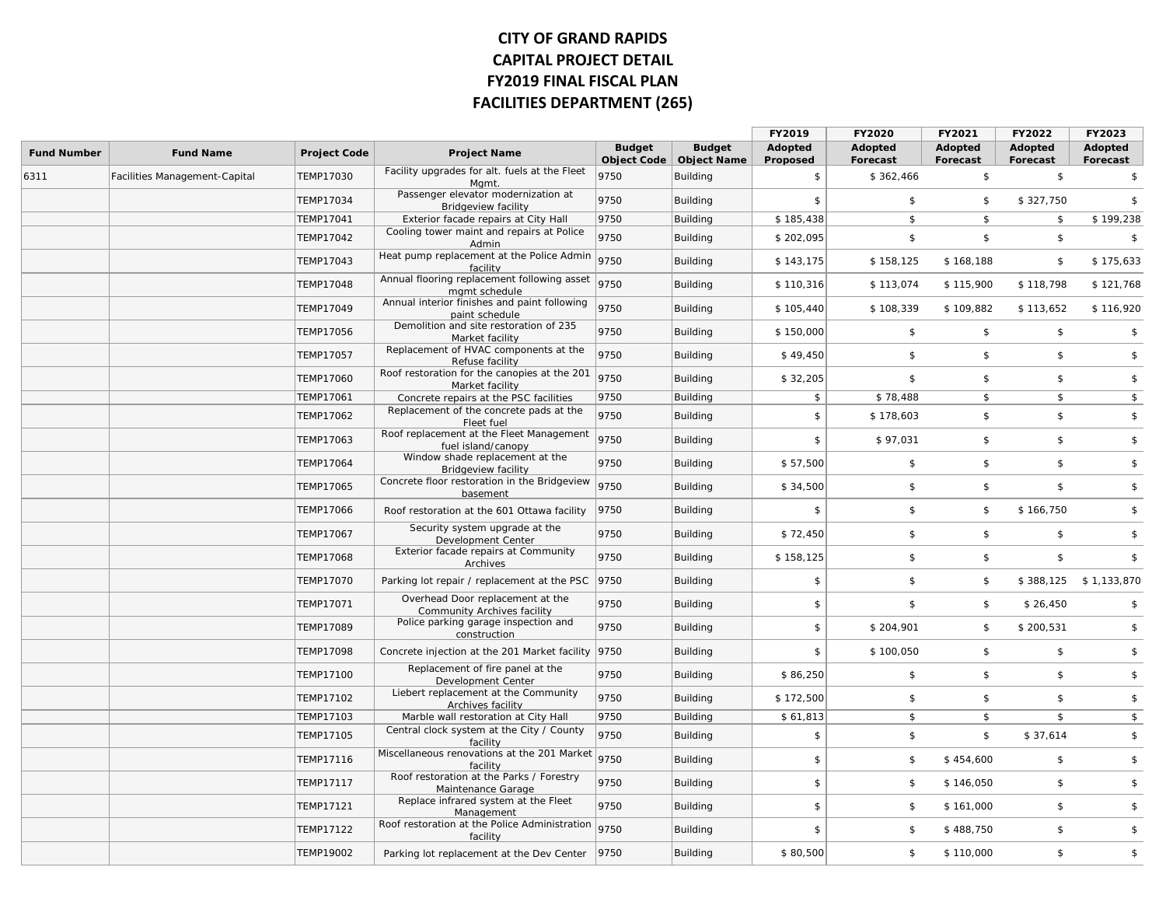# **CITY OF GRAND RAPIDS CAPITAL PROJECT DETAIL FY2019 FINAL FISCAL PLAN FACILITIES DEPARTMENT (265)**

| <b>Budget</b><br><b>Budget</b><br>Adopted<br>Adopted<br>Adopted<br>Adopted<br>Adopted<br><b>Fund Number</b><br><b>Fund Name</b><br><b>Project Code</b><br><b>Project Name</b><br><b>Object Code</b><br><b>Object Name</b><br>Proposed<br>Forecast<br>Forecast<br>Forecast<br>Forecast<br>Facility upgrades for alt. fuels at the Fleet<br>9750<br>\$<br>Facilities Management-Capital<br>TEMP17030<br>Building<br>\$<br>\$362,466<br>\$<br>\$<br>Mgmt.<br>Passenger elevator modernization at<br>9750<br>TEMP17034<br>Building<br>\$<br>\$<br>\$<br>\$327,750<br>\$<br><b>Bridgeview facility</b><br>9750<br>\$185,438<br>\$<br>\$199,238<br>TEMP17041<br>Exterior facade repairs at City Hall<br>Building<br>\$<br>\$<br>Cooling tower maint and repairs at Police<br>9750<br>\$<br>TEMP17042<br>\$202,095<br>\$<br>\$<br>$\mathbf{\hat{F}}$<br>Building<br>Admin<br>Heat pump replacement at the Police Admin<br>9750<br>TEMP17043<br>\$143,175<br>\$158,125<br>\$<br>\$175,633<br>Building<br>\$168,188<br>facility<br>Annual flooring replacement following asset<br>9750<br><b>TEMP17048</b><br>\$113,074<br>\$115,900<br>\$118,798<br>\$121,768<br>Building<br>\$110,316<br>mgmt schedule<br>Annual interior finishes and paint following<br>TEMP17049<br>9750<br>\$108,339<br>\$109,882<br>\$113,652<br>\$116,920<br>Building<br>\$105,440<br>paint schedule<br>Demolition and site restoration of 235<br>TEMP17056<br>9750<br>\$<br>$\sqrt{2}$<br>$\sqrt{2}$<br>Building<br>\$150,000<br>\$<br>Market facility<br>Replacement of HVAC components at the<br>9750<br><b>TEMP17057</b><br>\$<br>$\sqrt{2}$<br>\$<br>\$<br>Building<br>\$49,450<br>Refuse facility<br>Roof restoration for the canopies at the 201<br>9750<br>TEMP17060<br>$\sqrt{2}$<br>$\sqrt{2}$<br>Building<br>\$32,205<br>\$<br>\$<br>Market facility<br>TEMP17061<br>9750<br>\$<br>\$78,488<br>$\sqrt{2}$<br>\$<br>\$<br>Concrete repairs at the PSC facilities<br>Building<br>Replacement of the concrete pads at the<br>9750<br>\$<br>\$<br>\$<br><b>TEMP17062</b><br>\$<br>\$178,603<br><b>Building</b><br>Fleet fuel<br>Roof replacement at the Fleet Management<br>TEMP17063<br>9750<br>\$97,031<br>$\frac{1}{2}$<br>\$<br>\$<br>\$<br>Building<br>fuel island/canopy<br>Window shade replacement at the<br>9750<br>\$<br>\$<br>\$<br>\$<br><b>TEMP17064</b><br>\$57,500<br>Building<br><b>Bridgeview facility</b><br>Concrete floor restoration in the Bridgeview<br>9750<br>$\frac{1}{2}$<br>TEMP17065<br>\$34,500<br>\$<br>$\sqrt{2}$<br>\$<br>Building<br>basement<br><b>TEMP17066</b><br>\$<br>\$<br>$\sqrt{2}$<br>\$<br>9750<br>\$166,750<br>Roof restoration at the 601 Ottawa facility<br><b>Building</b><br>Security system upgrade at the<br>9750<br>TEMP17067<br>\$72,450<br>\$<br>$\sqrt{2}$<br>\$<br>\$<br>Building<br>Development Center<br>Exterior facade repairs at Community<br>9750<br>\$<br>\$<br>\$<br><b>TEMP17068</b><br>Building<br>\$158,125<br>\$<br>Archives<br><b>TEMP17070</b><br>Parking lot repair / replacement at the PSC<br> 9750<br>\$<br>\$<br>\$<br>\$388,125<br>\$1,133,870<br>Building<br>Overhead Door replacement at the<br>9750<br>\$<br>\$<br>$\sqrt{2}$<br>TEMP17071<br>Building<br>\$26,450<br>\$<br><b>Community Archives facility</b><br>Police parking garage inspection and<br>9750<br><b>TEMP17089</b><br>\$<br>\$204,901<br>\$<br>\$200,531<br>\$<br>Building<br>construction<br>Concrete injection at the 201 Market facility 9750<br>\$<br>\$<br>\$<br>\$<br><b>TEMP17098</b><br>Building<br>\$100,050<br>Replacement of fire panel at the<br>9750<br>$\frac{1}{2}$<br>$\sqrt{2}$<br>TEMP17100<br>\$86,250<br>\$<br>\$<br>Building<br>Development Center<br>Liebert replacement at the Community<br>9750<br>$\frac{1}{2}$<br>TEMP17102<br>\$172,500<br>\$<br>$\sqrt{2}$<br>\$<br>Building<br>Archives facility<br>9750<br>\$<br>\$<br>$\mathsf{s}$<br>$\mathfrak{S}$<br>TEMP17103<br>\$61,813<br>Marble wall restoration at City Hall<br>Building<br>Central clock system at the City / County<br>9750<br>TEMP17105<br>\$<br>\$<br>$\sqrt{2}$<br>\$37,614<br>\$<br>Building<br>facility<br>Miscellaneous renovations at the 201 Market<br>9750<br>$\mathfrak{S}$<br>\$<br>TEMP17116<br>\$<br>\$<br>\$454,600<br>Building<br>facility<br>Roof restoration at the Parks / Forestry<br>9750<br>\$<br>\$<br>\$<br><b>TEMP17117</b><br>Building<br>\$<br>\$146,050<br>Maintenance Garage<br>Replace infrared system at the Fleet<br>TEMP17121<br>9750<br>\$<br>$\sqrt{2}$<br>\$<br>\$<br>Building<br>\$161,000<br>Management<br>Roof restoration at the Police Administration<br>9750<br>\$<br>\$<br>\$<br>TEMP17122<br>Building<br>\$<br>\$488,750<br>facility<br>\$80,500<br>\$<br>\$<br><b>TEMP19002</b><br> 9750<br>Building<br>\$<br>Parking lot replacement at the Dev Center<br>\$110,000 |      |  |  | FY2019 | FY2020 | FY2021 | FY2022 | FY2023 |
|---------------------------------------------------------------------------------------------------------------------------------------------------------------------------------------------------------------------------------------------------------------------------------------------------------------------------------------------------------------------------------------------------------------------------------------------------------------------------------------------------------------------------------------------------------------------------------------------------------------------------------------------------------------------------------------------------------------------------------------------------------------------------------------------------------------------------------------------------------------------------------------------------------------------------------------------------------------------------------------------------------------------------------------------------------------------------------------------------------------------------------------------------------------------------------------------------------------------------------------------------------------------------------------------------------------------------------------------------------------------------------------------------------------------------------------------------------------------------------------------------------------------------------------------------------------------------------------------------------------------------------------------------------------------------------------------------------------------------------------------------------------------------------------------------------------------------------------------------------------------------------------------------------------------------------------------------------------------------------------------------------------------------------------------------------------------------------------------------------------------------------------------------------------------------------------------------------------------------------------------------------------------------------------------------------------------------------------------------------------------------------------------------------------------------------------------------------------------------------------------------------------------------------------------------------------------------------------------------------------------------------------------------------------------------------------------------------------------------------------------------------------------------------------------------------------------------------------------------------------------------------------------------------------------------------------------------------------------------------------------------------------------------------------------------------------------------------------------------------------------------------------------------------------------------------------------------------------------------------------------------------------------------------------------------------------------------------------------------------------------------------------------------------------------------------------------------------------------------------------------------------------------------------------------------------------------------------------------------------------------------------------------------------------------------------------------------------------------------------------------------------------------------------------------------------------------------------------------------------------------------------------------------------------------------------------------------------------------------------------------------------------------------------------------------------------------------------------------------------------------------------------------------------------------------------------------------------------------------------------------------------------------------------------------------------------------------------------------------------------------------------------------------------------------------------------------------------------------------------------------------------------------------------------------------------------------------------------------------------------------------------------------------------------------------------------------------------------------------------------------------------------------------------------------------------------------------------|------|--|--|--------|--------|--------|--------|--------|
|                                                                                                                                                                                                                                                                                                                                                                                                                                                                                                                                                                                                                                                                                                                                                                                                                                                                                                                                                                                                                                                                                                                                                                                                                                                                                                                                                                                                                                                                                                                                                                                                                                                                                                                                                                                                                                                                                                                                                                                                                                                                                                                                                                                                                                                                                                                                                                                                                                                                                                                                                                                                                                                                                                                                                                                                                                                                                                                                                                                                                                                                                                                                                                                                                                                                                                                                                                                                                                                                                                                                                                                                                                                                                                                                                                                                                                                                                                                                                                                                                                                                                                                                                                                                                                                                                                                                                                                                                                                                                                                                                                                                                                                                                                                                                                                                                                 |      |  |  |        |        |        |        |        |
|                                                                                                                                                                                                                                                                                                                                                                                                                                                                                                                                                                                                                                                                                                                                                                                                                                                                                                                                                                                                                                                                                                                                                                                                                                                                                                                                                                                                                                                                                                                                                                                                                                                                                                                                                                                                                                                                                                                                                                                                                                                                                                                                                                                                                                                                                                                                                                                                                                                                                                                                                                                                                                                                                                                                                                                                                                                                                                                                                                                                                                                                                                                                                                                                                                                                                                                                                                                                                                                                                                                                                                                                                                                                                                                                                                                                                                                                                                                                                                                                                                                                                                                                                                                                                                                                                                                                                                                                                                                                                                                                                                                                                                                                                                                                                                                                                                 | 6311 |  |  |        |        |        |        |        |
|                                                                                                                                                                                                                                                                                                                                                                                                                                                                                                                                                                                                                                                                                                                                                                                                                                                                                                                                                                                                                                                                                                                                                                                                                                                                                                                                                                                                                                                                                                                                                                                                                                                                                                                                                                                                                                                                                                                                                                                                                                                                                                                                                                                                                                                                                                                                                                                                                                                                                                                                                                                                                                                                                                                                                                                                                                                                                                                                                                                                                                                                                                                                                                                                                                                                                                                                                                                                                                                                                                                                                                                                                                                                                                                                                                                                                                                                                                                                                                                                                                                                                                                                                                                                                                                                                                                                                                                                                                                                                                                                                                                                                                                                                                                                                                                                                                 |      |  |  |        |        |        |        |        |
|                                                                                                                                                                                                                                                                                                                                                                                                                                                                                                                                                                                                                                                                                                                                                                                                                                                                                                                                                                                                                                                                                                                                                                                                                                                                                                                                                                                                                                                                                                                                                                                                                                                                                                                                                                                                                                                                                                                                                                                                                                                                                                                                                                                                                                                                                                                                                                                                                                                                                                                                                                                                                                                                                                                                                                                                                                                                                                                                                                                                                                                                                                                                                                                                                                                                                                                                                                                                                                                                                                                                                                                                                                                                                                                                                                                                                                                                                                                                                                                                                                                                                                                                                                                                                                                                                                                                                                                                                                                                                                                                                                                                                                                                                                                                                                                                                                 |      |  |  |        |        |        |        |        |
|                                                                                                                                                                                                                                                                                                                                                                                                                                                                                                                                                                                                                                                                                                                                                                                                                                                                                                                                                                                                                                                                                                                                                                                                                                                                                                                                                                                                                                                                                                                                                                                                                                                                                                                                                                                                                                                                                                                                                                                                                                                                                                                                                                                                                                                                                                                                                                                                                                                                                                                                                                                                                                                                                                                                                                                                                                                                                                                                                                                                                                                                                                                                                                                                                                                                                                                                                                                                                                                                                                                                                                                                                                                                                                                                                                                                                                                                                                                                                                                                                                                                                                                                                                                                                                                                                                                                                                                                                                                                                                                                                                                                                                                                                                                                                                                                                                 |      |  |  |        |        |        |        |        |
|                                                                                                                                                                                                                                                                                                                                                                                                                                                                                                                                                                                                                                                                                                                                                                                                                                                                                                                                                                                                                                                                                                                                                                                                                                                                                                                                                                                                                                                                                                                                                                                                                                                                                                                                                                                                                                                                                                                                                                                                                                                                                                                                                                                                                                                                                                                                                                                                                                                                                                                                                                                                                                                                                                                                                                                                                                                                                                                                                                                                                                                                                                                                                                                                                                                                                                                                                                                                                                                                                                                                                                                                                                                                                                                                                                                                                                                                                                                                                                                                                                                                                                                                                                                                                                                                                                                                                                                                                                                                                                                                                                                                                                                                                                                                                                                                                                 |      |  |  |        |        |        |        |        |
|                                                                                                                                                                                                                                                                                                                                                                                                                                                                                                                                                                                                                                                                                                                                                                                                                                                                                                                                                                                                                                                                                                                                                                                                                                                                                                                                                                                                                                                                                                                                                                                                                                                                                                                                                                                                                                                                                                                                                                                                                                                                                                                                                                                                                                                                                                                                                                                                                                                                                                                                                                                                                                                                                                                                                                                                                                                                                                                                                                                                                                                                                                                                                                                                                                                                                                                                                                                                                                                                                                                                                                                                                                                                                                                                                                                                                                                                                                                                                                                                                                                                                                                                                                                                                                                                                                                                                                                                                                                                                                                                                                                                                                                                                                                                                                                                                                 |      |  |  |        |        |        |        |        |
|                                                                                                                                                                                                                                                                                                                                                                                                                                                                                                                                                                                                                                                                                                                                                                                                                                                                                                                                                                                                                                                                                                                                                                                                                                                                                                                                                                                                                                                                                                                                                                                                                                                                                                                                                                                                                                                                                                                                                                                                                                                                                                                                                                                                                                                                                                                                                                                                                                                                                                                                                                                                                                                                                                                                                                                                                                                                                                                                                                                                                                                                                                                                                                                                                                                                                                                                                                                                                                                                                                                                                                                                                                                                                                                                                                                                                                                                                                                                                                                                                                                                                                                                                                                                                                                                                                                                                                                                                                                                                                                                                                                                                                                                                                                                                                                                                                 |      |  |  |        |        |        |        |        |
|                                                                                                                                                                                                                                                                                                                                                                                                                                                                                                                                                                                                                                                                                                                                                                                                                                                                                                                                                                                                                                                                                                                                                                                                                                                                                                                                                                                                                                                                                                                                                                                                                                                                                                                                                                                                                                                                                                                                                                                                                                                                                                                                                                                                                                                                                                                                                                                                                                                                                                                                                                                                                                                                                                                                                                                                                                                                                                                                                                                                                                                                                                                                                                                                                                                                                                                                                                                                                                                                                                                                                                                                                                                                                                                                                                                                                                                                                                                                                                                                                                                                                                                                                                                                                                                                                                                                                                                                                                                                                                                                                                                                                                                                                                                                                                                                                                 |      |  |  |        |        |        |        |        |
|                                                                                                                                                                                                                                                                                                                                                                                                                                                                                                                                                                                                                                                                                                                                                                                                                                                                                                                                                                                                                                                                                                                                                                                                                                                                                                                                                                                                                                                                                                                                                                                                                                                                                                                                                                                                                                                                                                                                                                                                                                                                                                                                                                                                                                                                                                                                                                                                                                                                                                                                                                                                                                                                                                                                                                                                                                                                                                                                                                                                                                                                                                                                                                                                                                                                                                                                                                                                                                                                                                                                                                                                                                                                                                                                                                                                                                                                                                                                                                                                                                                                                                                                                                                                                                                                                                                                                                                                                                                                                                                                                                                                                                                                                                                                                                                                                                 |      |  |  |        |        |        |        |        |
|                                                                                                                                                                                                                                                                                                                                                                                                                                                                                                                                                                                                                                                                                                                                                                                                                                                                                                                                                                                                                                                                                                                                                                                                                                                                                                                                                                                                                                                                                                                                                                                                                                                                                                                                                                                                                                                                                                                                                                                                                                                                                                                                                                                                                                                                                                                                                                                                                                                                                                                                                                                                                                                                                                                                                                                                                                                                                                                                                                                                                                                                                                                                                                                                                                                                                                                                                                                                                                                                                                                                                                                                                                                                                                                                                                                                                                                                                                                                                                                                                                                                                                                                                                                                                                                                                                                                                                                                                                                                                                                                                                                                                                                                                                                                                                                                                                 |      |  |  |        |        |        |        |        |
|                                                                                                                                                                                                                                                                                                                                                                                                                                                                                                                                                                                                                                                                                                                                                                                                                                                                                                                                                                                                                                                                                                                                                                                                                                                                                                                                                                                                                                                                                                                                                                                                                                                                                                                                                                                                                                                                                                                                                                                                                                                                                                                                                                                                                                                                                                                                                                                                                                                                                                                                                                                                                                                                                                                                                                                                                                                                                                                                                                                                                                                                                                                                                                                                                                                                                                                                                                                                                                                                                                                                                                                                                                                                                                                                                                                                                                                                                                                                                                                                                                                                                                                                                                                                                                                                                                                                                                                                                                                                                                                                                                                                                                                                                                                                                                                                                                 |      |  |  |        |        |        |        |        |
|                                                                                                                                                                                                                                                                                                                                                                                                                                                                                                                                                                                                                                                                                                                                                                                                                                                                                                                                                                                                                                                                                                                                                                                                                                                                                                                                                                                                                                                                                                                                                                                                                                                                                                                                                                                                                                                                                                                                                                                                                                                                                                                                                                                                                                                                                                                                                                                                                                                                                                                                                                                                                                                                                                                                                                                                                                                                                                                                                                                                                                                                                                                                                                                                                                                                                                                                                                                                                                                                                                                                                                                                                                                                                                                                                                                                                                                                                                                                                                                                                                                                                                                                                                                                                                                                                                                                                                                                                                                                                                                                                                                                                                                                                                                                                                                                                                 |      |  |  |        |        |        |        |        |
|                                                                                                                                                                                                                                                                                                                                                                                                                                                                                                                                                                                                                                                                                                                                                                                                                                                                                                                                                                                                                                                                                                                                                                                                                                                                                                                                                                                                                                                                                                                                                                                                                                                                                                                                                                                                                                                                                                                                                                                                                                                                                                                                                                                                                                                                                                                                                                                                                                                                                                                                                                                                                                                                                                                                                                                                                                                                                                                                                                                                                                                                                                                                                                                                                                                                                                                                                                                                                                                                                                                                                                                                                                                                                                                                                                                                                                                                                                                                                                                                                                                                                                                                                                                                                                                                                                                                                                                                                                                                                                                                                                                                                                                                                                                                                                                                                                 |      |  |  |        |        |        |        |        |
|                                                                                                                                                                                                                                                                                                                                                                                                                                                                                                                                                                                                                                                                                                                                                                                                                                                                                                                                                                                                                                                                                                                                                                                                                                                                                                                                                                                                                                                                                                                                                                                                                                                                                                                                                                                                                                                                                                                                                                                                                                                                                                                                                                                                                                                                                                                                                                                                                                                                                                                                                                                                                                                                                                                                                                                                                                                                                                                                                                                                                                                                                                                                                                                                                                                                                                                                                                                                                                                                                                                                                                                                                                                                                                                                                                                                                                                                                                                                                                                                                                                                                                                                                                                                                                                                                                                                                                                                                                                                                                                                                                                                                                                                                                                                                                                                                                 |      |  |  |        |        |        |        |        |
|                                                                                                                                                                                                                                                                                                                                                                                                                                                                                                                                                                                                                                                                                                                                                                                                                                                                                                                                                                                                                                                                                                                                                                                                                                                                                                                                                                                                                                                                                                                                                                                                                                                                                                                                                                                                                                                                                                                                                                                                                                                                                                                                                                                                                                                                                                                                                                                                                                                                                                                                                                                                                                                                                                                                                                                                                                                                                                                                                                                                                                                                                                                                                                                                                                                                                                                                                                                                                                                                                                                                                                                                                                                                                                                                                                                                                                                                                                                                                                                                                                                                                                                                                                                                                                                                                                                                                                                                                                                                                                                                                                                                                                                                                                                                                                                                                                 |      |  |  |        |        |        |        |        |
|                                                                                                                                                                                                                                                                                                                                                                                                                                                                                                                                                                                                                                                                                                                                                                                                                                                                                                                                                                                                                                                                                                                                                                                                                                                                                                                                                                                                                                                                                                                                                                                                                                                                                                                                                                                                                                                                                                                                                                                                                                                                                                                                                                                                                                                                                                                                                                                                                                                                                                                                                                                                                                                                                                                                                                                                                                                                                                                                                                                                                                                                                                                                                                                                                                                                                                                                                                                                                                                                                                                                                                                                                                                                                                                                                                                                                                                                                                                                                                                                                                                                                                                                                                                                                                                                                                                                                                                                                                                                                                                                                                                                                                                                                                                                                                                                                                 |      |  |  |        |        |        |        |        |
|                                                                                                                                                                                                                                                                                                                                                                                                                                                                                                                                                                                                                                                                                                                                                                                                                                                                                                                                                                                                                                                                                                                                                                                                                                                                                                                                                                                                                                                                                                                                                                                                                                                                                                                                                                                                                                                                                                                                                                                                                                                                                                                                                                                                                                                                                                                                                                                                                                                                                                                                                                                                                                                                                                                                                                                                                                                                                                                                                                                                                                                                                                                                                                                                                                                                                                                                                                                                                                                                                                                                                                                                                                                                                                                                                                                                                                                                                                                                                                                                                                                                                                                                                                                                                                                                                                                                                                                                                                                                                                                                                                                                                                                                                                                                                                                                                                 |      |  |  |        |        |        |        |        |
|                                                                                                                                                                                                                                                                                                                                                                                                                                                                                                                                                                                                                                                                                                                                                                                                                                                                                                                                                                                                                                                                                                                                                                                                                                                                                                                                                                                                                                                                                                                                                                                                                                                                                                                                                                                                                                                                                                                                                                                                                                                                                                                                                                                                                                                                                                                                                                                                                                                                                                                                                                                                                                                                                                                                                                                                                                                                                                                                                                                                                                                                                                                                                                                                                                                                                                                                                                                                                                                                                                                                                                                                                                                                                                                                                                                                                                                                                                                                                                                                                                                                                                                                                                                                                                                                                                                                                                                                                                                                                                                                                                                                                                                                                                                                                                                                                                 |      |  |  |        |        |        |        |        |
|                                                                                                                                                                                                                                                                                                                                                                                                                                                                                                                                                                                                                                                                                                                                                                                                                                                                                                                                                                                                                                                                                                                                                                                                                                                                                                                                                                                                                                                                                                                                                                                                                                                                                                                                                                                                                                                                                                                                                                                                                                                                                                                                                                                                                                                                                                                                                                                                                                                                                                                                                                                                                                                                                                                                                                                                                                                                                                                                                                                                                                                                                                                                                                                                                                                                                                                                                                                                                                                                                                                                                                                                                                                                                                                                                                                                                                                                                                                                                                                                                                                                                                                                                                                                                                                                                                                                                                                                                                                                                                                                                                                                                                                                                                                                                                                                                                 |      |  |  |        |        |        |        |        |
|                                                                                                                                                                                                                                                                                                                                                                                                                                                                                                                                                                                                                                                                                                                                                                                                                                                                                                                                                                                                                                                                                                                                                                                                                                                                                                                                                                                                                                                                                                                                                                                                                                                                                                                                                                                                                                                                                                                                                                                                                                                                                                                                                                                                                                                                                                                                                                                                                                                                                                                                                                                                                                                                                                                                                                                                                                                                                                                                                                                                                                                                                                                                                                                                                                                                                                                                                                                                                                                                                                                                                                                                                                                                                                                                                                                                                                                                                                                                                                                                                                                                                                                                                                                                                                                                                                                                                                                                                                                                                                                                                                                                                                                                                                                                                                                                                                 |      |  |  |        |        |        |        |        |
|                                                                                                                                                                                                                                                                                                                                                                                                                                                                                                                                                                                                                                                                                                                                                                                                                                                                                                                                                                                                                                                                                                                                                                                                                                                                                                                                                                                                                                                                                                                                                                                                                                                                                                                                                                                                                                                                                                                                                                                                                                                                                                                                                                                                                                                                                                                                                                                                                                                                                                                                                                                                                                                                                                                                                                                                                                                                                                                                                                                                                                                                                                                                                                                                                                                                                                                                                                                                                                                                                                                                                                                                                                                                                                                                                                                                                                                                                                                                                                                                                                                                                                                                                                                                                                                                                                                                                                                                                                                                                                                                                                                                                                                                                                                                                                                                                                 |      |  |  |        |        |        |        |        |
|                                                                                                                                                                                                                                                                                                                                                                                                                                                                                                                                                                                                                                                                                                                                                                                                                                                                                                                                                                                                                                                                                                                                                                                                                                                                                                                                                                                                                                                                                                                                                                                                                                                                                                                                                                                                                                                                                                                                                                                                                                                                                                                                                                                                                                                                                                                                                                                                                                                                                                                                                                                                                                                                                                                                                                                                                                                                                                                                                                                                                                                                                                                                                                                                                                                                                                                                                                                                                                                                                                                                                                                                                                                                                                                                                                                                                                                                                                                                                                                                                                                                                                                                                                                                                                                                                                                                                                                                                                                                                                                                                                                                                                                                                                                                                                                                                                 |      |  |  |        |        |        |        |        |
|                                                                                                                                                                                                                                                                                                                                                                                                                                                                                                                                                                                                                                                                                                                                                                                                                                                                                                                                                                                                                                                                                                                                                                                                                                                                                                                                                                                                                                                                                                                                                                                                                                                                                                                                                                                                                                                                                                                                                                                                                                                                                                                                                                                                                                                                                                                                                                                                                                                                                                                                                                                                                                                                                                                                                                                                                                                                                                                                                                                                                                                                                                                                                                                                                                                                                                                                                                                                                                                                                                                                                                                                                                                                                                                                                                                                                                                                                                                                                                                                                                                                                                                                                                                                                                                                                                                                                                                                                                                                                                                                                                                                                                                                                                                                                                                                                                 |      |  |  |        |        |        |        |        |
|                                                                                                                                                                                                                                                                                                                                                                                                                                                                                                                                                                                                                                                                                                                                                                                                                                                                                                                                                                                                                                                                                                                                                                                                                                                                                                                                                                                                                                                                                                                                                                                                                                                                                                                                                                                                                                                                                                                                                                                                                                                                                                                                                                                                                                                                                                                                                                                                                                                                                                                                                                                                                                                                                                                                                                                                                                                                                                                                                                                                                                                                                                                                                                                                                                                                                                                                                                                                                                                                                                                                                                                                                                                                                                                                                                                                                                                                                                                                                                                                                                                                                                                                                                                                                                                                                                                                                                                                                                                                                                                                                                                                                                                                                                                                                                                                                                 |      |  |  |        |        |        |        |        |
|                                                                                                                                                                                                                                                                                                                                                                                                                                                                                                                                                                                                                                                                                                                                                                                                                                                                                                                                                                                                                                                                                                                                                                                                                                                                                                                                                                                                                                                                                                                                                                                                                                                                                                                                                                                                                                                                                                                                                                                                                                                                                                                                                                                                                                                                                                                                                                                                                                                                                                                                                                                                                                                                                                                                                                                                                                                                                                                                                                                                                                                                                                                                                                                                                                                                                                                                                                                                                                                                                                                                                                                                                                                                                                                                                                                                                                                                                                                                                                                                                                                                                                                                                                                                                                                                                                                                                                                                                                                                                                                                                                                                                                                                                                                                                                                                                                 |      |  |  |        |        |        |        |        |
|                                                                                                                                                                                                                                                                                                                                                                                                                                                                                                                                                                                                                                                                                                                                                                                                                                                                                                                                                                                                                                                                                                                                                                                                                                                                                                                                                                                                                                                                                                                                                                                                                                                                                                                                                                                                                                                                                                                                                                                                                                                                                                                                                                                                                                                                                                                                                                                                                                                                                                                                                                                                                                                                                                                                                                                                                                                                                                                                                                                                                                                                                                                                                                                                                                                                                                                                                                                                                                                                                                                                                                                                                                                                                                                                                                                                                                                                                                                                                                                                                                                                                                                                                                                                                                                                                                                                                                                                                                                                                                                                                                                                                                                                                                                                                                                                                                 |      |  |  |        |        |        |        |        |
|                                                                                                                                                                                                                                                                                                                                                                                                                                                                                                                                                                                                                                                                                                                                                                                                                                                                                                                                                                                                                                                                                                                                                                                                                                                                                                                                                                                                                                                                                                                                                                                                                                                                                                                                                                                                                                                                                                                                                                                                                                                                                                                                                                                                                                                                                                                                                                                                                                                                                                                                                                                                                                                                                                                                                                                                                                                                                                                                                                                                                                                                                                                                                                                                                                                                                                                                                                                                                                                                                                                                                                                                                                                                                                                                                                                                                                                                                                                                                                                                                                                                                                                                                                                                                                                                                                                                                                                                                                                                                                                                                                                                                                                                                                                                                                                                                                 |      |  |  |        |        |        |        |        |
|                                                                                                                                                                                                                                                                                                                                                                                                                                                                                                                                                                                                                                                                                                                                                                                                                                                                                                                                                                                                                                                                                                                                                                                                                                                                                                                                                                                                                                                                                                                                                                                                                                                                                                                                                                                                                                                                                                                                                                                                                                                                                                                                                                                                                                                                                                                                                                                                                                                                                                                                                                                                                                                                                                                                                                                                                                                                                                                                                                                                                                                                                                                                                                                                                                                                                                                                                                                                                                                                                                                                                                                                                                                                                                                                                                                                                                                                                                                                                                                                                                                                                                                                                                                                                                                                                                                                                                                                                                                                                                                                                                                                                                                                                                                                                                                                                                 |      |  |  |        |        |        |        |        |
|                                                                                                                                                                                                                                                                                                                                                                                                                                                                                                                                                                                                                                                                                                                                                                                                                                                                                                                                                                                                                                                                                                                                                                                                                                                                                                                                                                                                                                                                                                                                                                                                                                                                                                                                                                                                                                                                                                                                                                                                                                                                                                                                                                                                                                                                                                                                                                                                                                                                                                                                                                                                                                                                                                                                                                                                                                                                                                                                                                                                                                                                                                                                                                                                                                                                                                                                                                                                                                                                                                                                                                                                                                                                                                                                                                                                                                                                                                                                                                                                                                                                                                                                                                                                                                                                                                                                                                                                                                                                                                                                                                                                                                                                                                                                                                                                                                 |      |  |  |        |        |        |        |        |
|                                                                                                                                                                                                                                                                                                                                                                                                                                                                                                                                                                                                                                                                                                                                                                                                                                                                                                                                                                                                                                                                                                                                                                                                                                                                                                                                                                                                                                                                                                                                                                                                                                                                                                                                                                                                                                                                                                                                                                                                                                                                                                                                                                                                                                                                                                                                                                                                                                                                                                                                                                                                                                                                                                                                                                                                                                                                                                                                                                                                                                                                                                                                                                                                                                                                                                                                                                                                                                                                                                                                                                                                                                                                                                                                                                                                                                                                                                                                                                                                                                                                                                                                                                                                                                                                                                                                                                                                                                                                                                                                                                                                                                                                                                                                                                                                                                 |      |  |  |        |        |        |        |        |
|                                                                                                                                                                                                                                                                                                                                                                                                                                                                                                                                                                                                                                                                                                                                                                                                                                                                                                                                                                                                                                                                                                                                                                                                                                                                                                                                                                                                                                                                                                                                                                                                                                                                                                                                                                                                                                                                                                                                                                                                                                                                                                                                                                                                                                                                                                                                                                                                                                                                                                                                                                                                                                                                                                                                                                                                                                                                                                                                                                                                                                                                                                                                                                                                                                                                                                                                                                                                                                                                                                                                                                                                                                                                                                                                                                                                                                                                                                                                                                                                                                                                                                                                                                                                                                                                                                                                                                                                                                                                                                                                                                                                                                                                                                                                                                                                                                 |      |  |  |        |        |        |        |        |